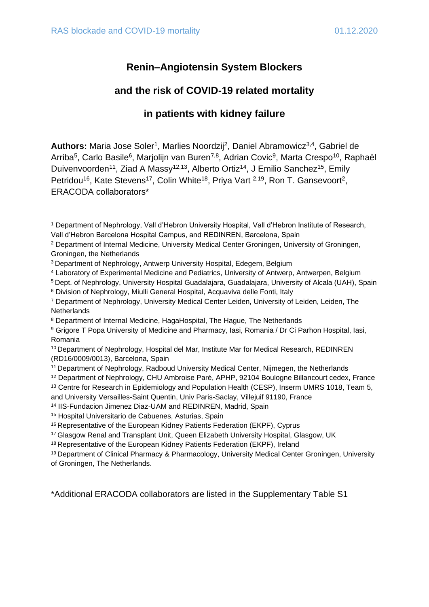# **Renin–Angiotensin System Blockers**

# **and the risk of COVID-19 related mortality**

# **in patients with kidney failure**

Authors: Maria Jose Soler<sup>1</sup>, Marlies Noordzij<sup>2</sup>, Daniel Abramowicz<sup>3,4</sup>, Gabriel de Arriba<sup>5</sup>, Carlo Basile<sup>6</sup>, Marjolijn van Buren<sup>7,8</sup>, Adrian Covic<sup>9</sup>, Marta Crespo<sup>10</sup>, Raphaël Duivenvoorden<sup>11</sup>, Ziad A Massy<sup>12,13</sup>, Alberto Ortiz<sup>14</sup>, J Emilio Sanchez<sup>15</sup>, Emily Petridou<sup>16</sup>, Kate Stevens<sup>17</sup>, Colin White<sup>18</sup>, Priya Vart <sup>2,19</sup>, Ron T. Gansevoort<sup>2</sup>, ERACODA collaborators\*

- <sup>3</sup>Department of Nephrology, Antwerp University Hospital, Edegem, Belgium
- <sup>4</sup> Laboratory of Experimental Medicine and Pediatrics, University of Antwerp, Antwerpen, Belgium
- <sup>5</sup>Dept. of Nephrology, University Hospital Guadalajara, Guadalajara, University of Alcala (UAH), Spain
- <sup>6</sup> Division of Nephrology, Miulli General Hospital, Acquaviva delle Fonti, Italy
- <sup>7</sup> Department of Nephrology, University Medical Center Leiden, University of Leiden, Leiden, The **Netherlands**
- <sup>8</sup> Department of Internal Medicine, HagaHospital, The Hague, The Netherlands
- <sup>9</sup> Grigore T Popa University of Medicine and Pharmacy, Iasi, Romania / Dr Ci Parhon Hospital, Iasi, Romania
- <sup>10</sup> Department of Nephrology, Hospital del Mar, Institute Mar for Medical Research, REDINREN (RD16/0009/0013), Barcelona, Spain
- <sup>11</sup> Department of Nephrology, Radboud University Medical Center, Nijmegen, the Netherlands
- <sup>12</sup> Department of Nephrology, CHU Ambroise Paré, APHP, 92104 Boulogne Billancourt cedex, France

<sup>13</sup> Centre for Research in Epidemiology and Population Health (CESP), Inserm UMRS 1018, Team 5, and University Versailles-Saint Quentin, Univ Paris-Saclay, Villejuif 91190, France

- <sup>14</sup> IIS-Fundacion Jimenez Diaz-UAM and REDINREN, Madrid, Spain
- <sup>15</sup> Hospital Universitario de Cabuenes, Asturias, Spain
- <sup>16</sup> Representative of the European Kidney Patients Federation (EKPF), Cyprus
- <sup>17</sup>Glasgow Renal and Transplant Unit, Queen Elizabeth University Hospital, Glasgow, UK
- <sup>18</sup> Representative of the European Kidney Patients Federation (EKPF), Ireland

<sup>19</sup> Department of Clinical Pharmacy & Pharmacology, University Medical Center Groningen, University of Groningen, The Netherlands.

\*Additional ERACODA collaborators are listed in the Supplementary Table S1

<sup>1</sup> Department of Nephrology, Vall d'Hebron University Hospital, Vall d'Hebron Institute of Research, Vall d'Hebron Barcelona Hospital Campus, and REDINREN, Barcelona, Spain

<sup>2</sup> Department of Internal Medicine, University Medical Center Groningen, University of Groningen, Groningen, the Netherlands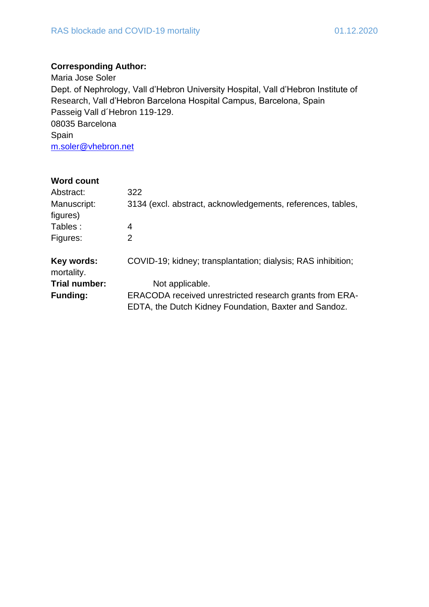## **Corresponding Author:**

Maria Jose Soler Dept. of Nephrology, Vall d'Hebron University Hospital, Vall d'Hebron Institute of Research, Vall d'Hebron Barcelona Hospital Campus, Barcelona, Spain Passeig Vall d´Hebron 119-129. 08035 Barcelona Spain [m.soler@vhebron.net](mailto:m.soler@vhebron.net)

| <b>Word count</b>        |                                                                                                                  |
|--------------------------|------------------------------------------------------------------------------------------------------------------|
| Abstract:                | 322                                                                                                              |
| Manuscript:<br>figures)  | 3134 (excl. abstract, acknowledgements, references, tables,                                                      |
| Tables:                  | 4                                                                                                                |
| Figures:                 | 2                                                                                                                |
| Key words:<br>mortality. | COVID-19; kidney; transplantation; dialysis; RAS inhibition;                                                     |
| Trial number:            | Not applicable.                                                                                                  |
| <b>Funding:</b>          | ERACODA received unrestricted research grants from ERA-<br>EDTA, the Dutch Kidney Foundation, Baxter and Sandoz. |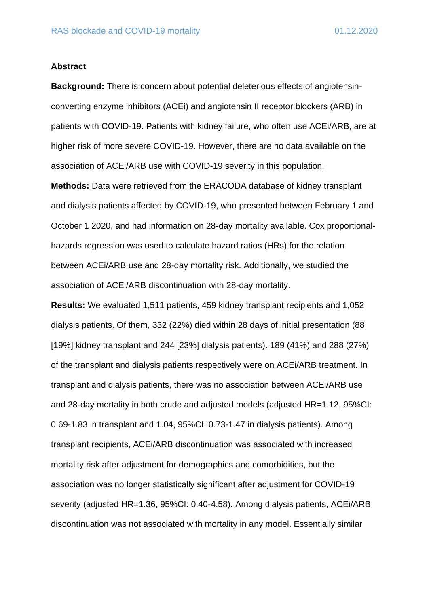#### **Abstract**

**Background:** There is concern about potential deleterious effects of angiotensinconverting enzyme inhibitors (ACEi) and angiotensin II receptor blockers (ARB) in patients with COVID-19. Patients with kidney failure, who often use ACEi/ARB, are at higher risk of more severe COVID-19. However, there are no data available on the association of ACEi/ARB use with COVID-19 severity in this population.

**Methods:** Data were retrieved from the ERACODA database of kidney transplant and dialysis patients affected by COVID-19, who presented between February 1 and October 1 2020, and had information on 28-day mortality available. Cox proportionalhazards regression was used to calculate hazard ratios (HRs) for the relation between ACEi/ARB use and 28-day mortality risk. Additionally, we studied the association of ACEi/ARB discontinuation with 28-day mortality.

**Results:** We evaluated 1,511 patients, 459 kidney transplant recipients and 1,052 dialysis patients. Of them, 332 (22%) died within 28 days of initial presentation (88 [19%] kidney transplant and 244 [23%] dialysis patients). 189 (41%) and 288 (27%) of the transplant and dialysis patients respectively were on ACEi/ARB treatment. In transplant and dialysis patients, there was no association between ACEi/ARB use and 28-day mortality in both crude and adjusted models (adjusted HR=1.12, 95%CI: 0.69-1.83 in transplant and 1.04, 95%CI: 0.73-1.47 in dialysis patients). Among transplant recipients, ACEi/ARB discontinuation was associated with increased mortality risk after adjustment for demographics and comorbidities, but the association was no longer statistically significant after adjustment for COVID-19 severity (adjusted HR=1.36, 95%CI: 0.40-4.58). Among dialysis patients, ACEi/ARB discontinuation was not associated with mortality in any model. Essentially similar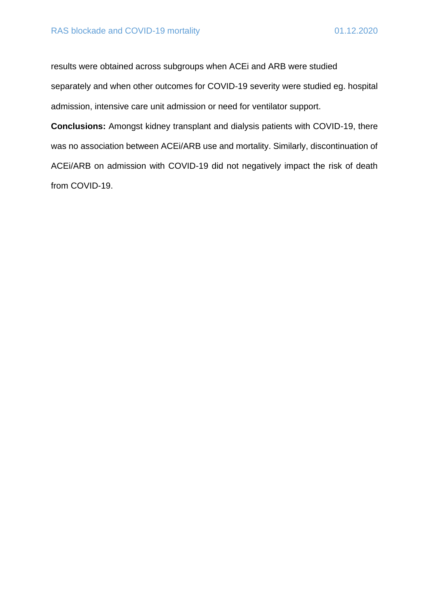results were obtained across subgroups when ACEi and ARB were studied separately and when other outcomes for COVID-19 severity were studied eg. hospital admission, intensive care unit admission or need for ventilator support.

**Conclusions:** Amongst kidney transplant and dialysis patients with COVID-19, there was no association between ACEi/ARB use and mortality. Similarly, discontinuation of ACEi/ARB on admission with COVID-19 did not negatively impact the risk of death from COVID-19.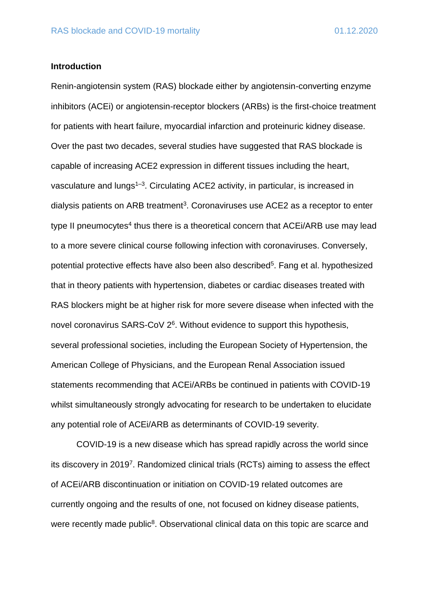#### **Introduction**

Renin-angiotensin system (RAS) blockade either by angiotensin-converting enzyme inhibitors (ACEi) or angiotensin-receptor blockers (ARBs) is the first-choice treatment for patients with heart failure, myocardial infarction and proteinuric kidney disease. Over the past two decades, several studies have suggested that RAS blockade is capable of increasing ACE2 expression in different tissues including the heart, vasculature and lungs<sup>1-3</sup>. Circulating ACE2 activity, in particular, is increased in dialysis patients on ARB treatment<sup>3</sup>. Coronaviruses use ACE2 as a receptor to enter type II pneumocytes<sup>4</sup> thus there is a theoretical concern that ACEi/ARB use may lead to a more severe clinical course following infection with coronaviruses. Conversely, potential protective effects have also been also described<sup>5</sup>. Fang et al. hypothesized that in theory patients with hypertension, diabetes or cardiac diseases treated with RAS blockers might be at higher risk for more severe disease when infected with the novel coronavirus SARS-CoV 2<sup>6</sup>. Without evidence to support this hypothesis, several professional societies, including the European Society of Hypertension, the American College of Physicians, and the European Renal Association issued statements recommending that ACEi/ARBs be continued in patients with COVID-19 whilst simultaneously strongly advocating for research to be undertaken to elucidate any potential role of ACEi/ARB as determinants of COVID-19 severity.

COVID-19 is a new disease which has spread rapidly across the world since its discovery in 2019<sup>7</sup>. Randomized clinical trials (RCTs) aiming to assess the effect of ACEi/ARB discontinuation or initiation on COVID-19 related outcomes are currently ongoing and the results of one, not focused on kidney disease patients, were recently made public<sup>8</sup>. Observational clinical data on this topic are scarce and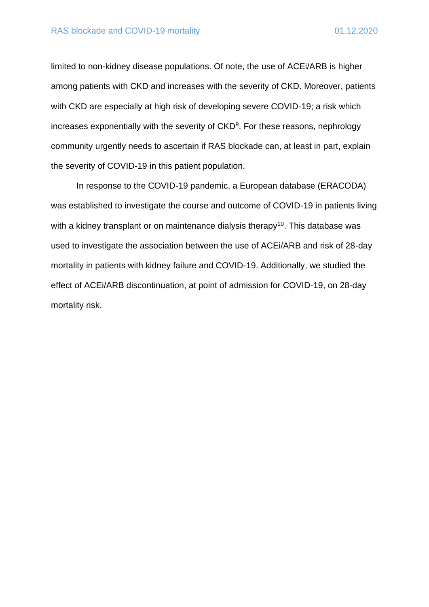limited to non-kidney disease populations. Of note, the use of ACEi/ARB is higher among patients with CKD and increases with the severity of CKD. Moreover, patients with CKD are especially at high risk of developing severe COVID-19; a risk which increases exponentially with the severity of CKD<sup>9</sup>. For these reasons, nephrology community urgently needs to ascertain if RAS blockade can, at least in part, explain the severity of COVID-19 in this patient population.

In response to the COVID-19 pandemic, a European database (ERACODA) was established to investigate the course and outcome of COVID-19 in patients living with a kidney transplant or on maintenance dialysis therapy<sup>10</sup>. This database was used to investigate the association between the use of ACEi/ARB and risk of 28-day mortality in patients with kidney failure and COVID-19. Additionally, we studied the effect of ACEi/ARB discontinuation, at point of admission for COVID-19, on 28-day mortality risk.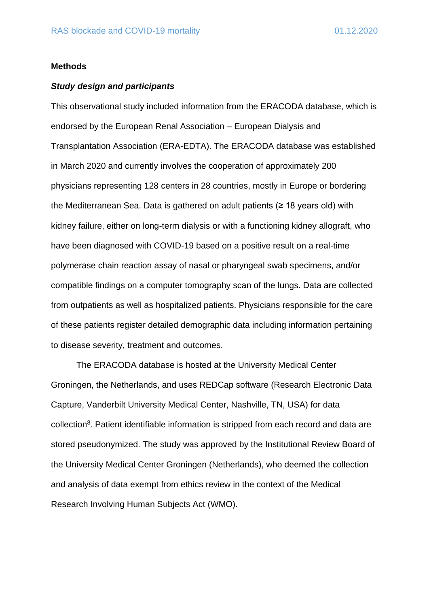#### **Methods**

#### *Study design and participants*

This observational study included information from the ERACODA database, which is endorsed by the European Renal Association – European Dialysis and Transplantation Association (ERA-EDTA). The ERACODA database was established in March 2020 and currently involves the cooperation of approximately 200 physicians representing 128 centers in 28 countries, mostly in Europe or bordering the Mediterranean Sea. Data is gathered on adult patients (≥ 18 years old) with kidney failure, either on long-term dialysis or with a functioning kidney allograft, who have been diagnosed with COVID-19 based on a positive result on a real-time polymerase chain reaction assay of nasal or pharyngeal swab specimens, and/or compatible findings on a computer tomography scan of the lungs. Data are collected from outpatients as well as hospitalized patients. Physicians responsible for the care of these patients register detailed demographic data including information pertaining to disease severity, treatment and outcomes.

The ERACODA database is hosted at the University Medical Center Groningen, the Netherlands, and uses REDCap software (Research Electronic Data Capture, Vanderbilt University Medical Center, Nashville, TN, USA) for data collection<sup>8</sup>. Patient identifiable information is stripped from each record and data are stored pseudonymized. The study was approved by the Institutional Review Board of the University Medical Center Groningen (Netherlands), who deemed the collection and analysis of data exempt from ethics review in the context of the Medical Research Involving Human Subjects Act (WMO).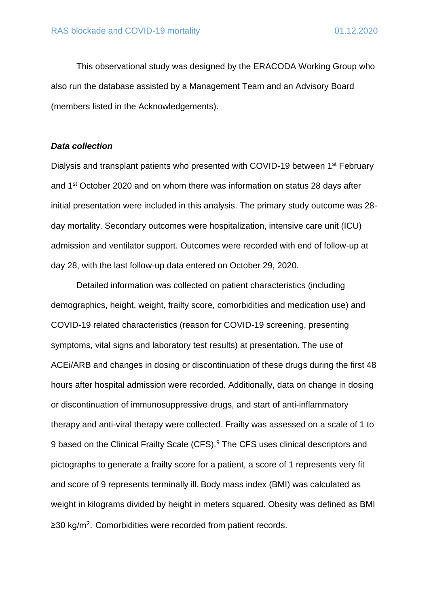This observational study was designed by the ERACODA Working Group who also run the database assisted by a Management Team and an Advisory Board (members listed in the Acknowledgements).

#### *Data collection*

Dialysis and transplant patients who presented with COVID-19 between 1<sup>st</sup> February and 1st October 2020 and on whom there was information on status 28 days after initial presentation were included in this analysis. The primary study outcome was 28 day mortality. Secondary outcomes were hospitalization, intensive care unit (ICU) admission and ventilator support. Outcomes were recorded with end of follow-up at day 28, with the last follow-up data entered on October 29, 2020.

Detailed information was collected on patient characteristics (including demographics, height, weight, frailty score, comorbidities and medication use) and COVID-19 related characteristics (reason for COVID-19 screening, presenting symptoms, vital signs and laboratory test results) at presentation. The use of ACEi/ARB and changes in dosing or discontinuation of these drugs during the first 48 hours after hospital admission were recorded. Additionally, data on change in dosing or discontinuation of immunosuppressive drugs, and start of anti-inflammatory therapy and anti-viral therapy were collected. Frailty was assessed on a scale of 1 to 9 based on the Clinical Frailty Scale (CFS).<sup>9</sup> The CFS uses clinical descriptors and pictographs to generate a frailty score for a patient, a score of 1 represents very fit and score of 9 represents terminally ill. Body mass index (BMI) was calculated as weight in kilograms divided by height in meters squared. Obesity was defined as BMI ≥30 kg/m<sup>2</sup>. Comorbidities were recorded from patient records.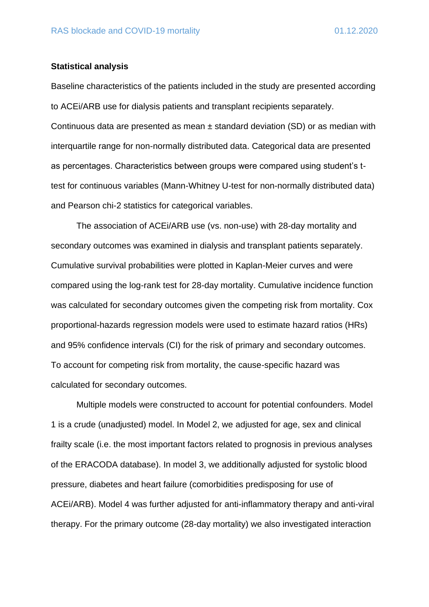#### **Statistical analysis**

Baseline characteristics of the patients included in the study are presented according to ACEi/ARB use for dialysis patients and transplant recipients separately. Continuous data are presented as mean  $\pm$  standard deviation (SD) or as median with interquartile range for non-normally distributed data. Categorical data are presented as percentages. Characteristics between groups were compared using student's ttest for continuous variables (Mann-Whitney U-test for non-normally distributed data) and Pearson chi-2 statistics for categorical variables.

The association of ACEi/ARB use (vs. non-use) with 28-day mortality and secondary outcomes was examined in dialysis and transplant patients separately. Cumulative survival probabilities were plotted in Kaplan-Meier curves and were compared using the log-rank test for 28-day mortality. Cumulative incidence function was calculated for secondary outcomes given the competing risk from mortality. Cox proportional-hazards regression models were used to estimate hazard ratios (HRs) and 95% confidence intervals (CI) for the risk of primary and secondary outcomes. To account for competing risk from mortality, the cause-specific hazard was calculated for secondary outcomes.

Multiple models were constructed to account for potential confounders. Model 1 is a crude (unadjusted) model. In Model 2, we adjusted for age, sex and clinical frailty scale (i.e. the most important factors related to prognosis in previous analyses of the ERACODA database). In model 3, we additionally adjusted for systolic blood pressure, diabetes and heart failure (comorbidities predisposing for use of ACEi/ARB). Model 4 was further adjusted for anti-inflammatory therapy and anti-viral therapy. For the primary outcome (28-day mortality) we also investigated interaction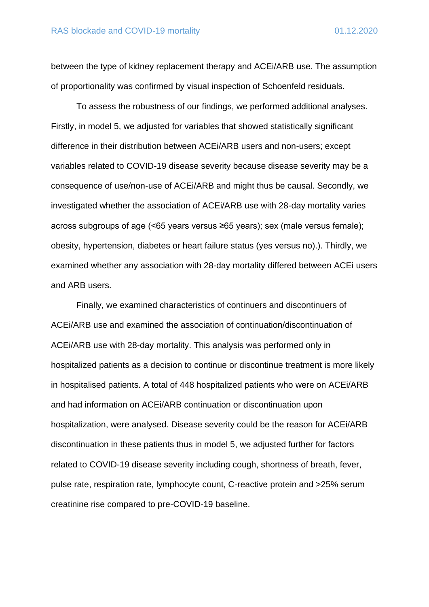between the type of kidney replacement therapy and ACEi/ARB use. The assumption of proportionality was confirmed by visual inspection of Schoenfeld residuals.

To assess the robustness of our findings, we performed additional analyses. Firstly, in model 5, we adjusted for variables that showed statistically significant difference in their distribution between ACEi/ARB users and non-users; except variables related to COVID-19 disease severity because disease severity may be a consequence of use/non-use of ACEi/ARB and might thus be causal. Secondly, we investigated whether the association of ACEi/ARB use with 28-day mortality varies across subgroups of age (<65 years versus ≥65 years); sex (male versus female); obesity, hypertension, diabetes or heart failure status (yes versus no).). Thirdly, we examined whether any association with 28-day mortality differed between ACEi users and ARB users.

Finally, we examined characteristics of continuers and discontinuers of ACEi/ARB use and examined the association of continuation/discontinuation of ACEi/ARB use with 28-day mortality. This analysis was performed only in hospitalized patients as a decision to continue or discontinue treatment is more likely in hospitalised patients. A total of 448 hospitalized patients who were on ACEi/ARB and had information on ACEi/ARB continuation or discontinuation upon hospitalization, were analysed. Disease severity could be the reason for ACEi/ARB discontinuation in these patients thus in model 5, we adjusted further for factors related to COVID-19 disease severity including cough, shortness of breath, fever, pulse rate, respiration rate, lymphocyte count, C-reactive protein and >25% serum creatinine rise compared to pre-COVID-19 baseline.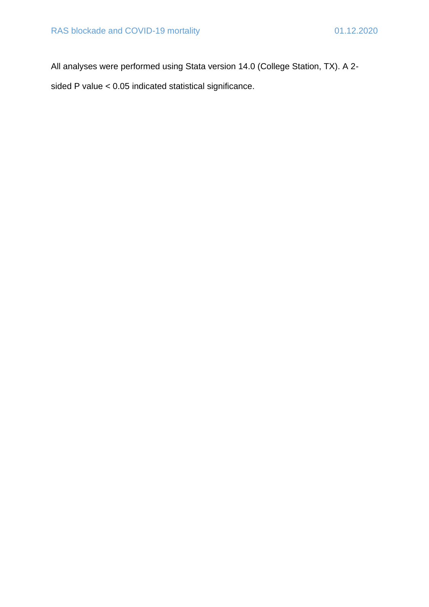All analyses were performed using Stata version 14.0 (College Station, TX). A 2 sided P value < 0.05 indicated statistical significance.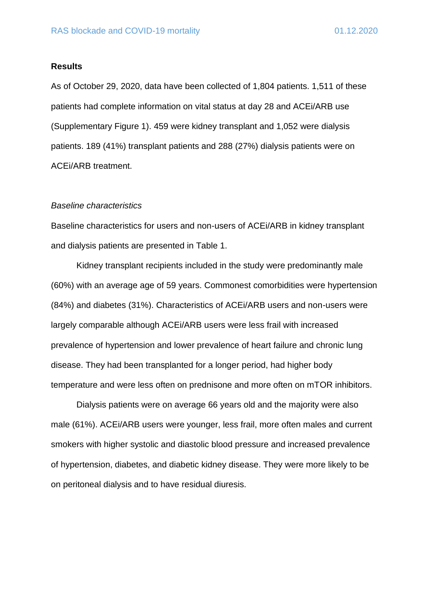#### **Results**

As of October 29, 2020, data have been collected of 1,804 patients. 1,511 of these patients had complete information on vital status at day 28 and ACEi/ARB use (Supplementary Figure 1). 459 were kidney transplant and 1,052 were dialysis patients. 189 (41%) transplant patients and 288 (27%) dialysis patients were on ACEi/ARB treatment.

#### *Baseline characteristics*

Baseline characteristics for users and non-users of ACEi/ARB in kidney transplant and dialysis patients are presented in Table 1.

Kidney transplant recipients included in the study were predominantly male (60%) with an average age of 59 years. Commonest comorbidities were hypertension (84%) and diabetes (31%). Characteristics of ACEi/ARB users and non-users were largely comparable although ACEi/ARB users were less frail with increased prevalence of hypertension and lower prevalence of heart failure and chronic lung disease. They had been transplanted for a longer period, had higher body temperature and were less often on prednisone and more often on mTOR inhibitors.

Dialysis patients were on average 66 years old and the majority were also male (61%). ACEi/ARB users were younger, less frail, more often males and current smokers with higher systolic and diastolic blood pressure and increased prevalence of hypertension, diabetes, and diabetic kidney disease. They were more likely to be on peritoneal dialysis and to have residual diuresis.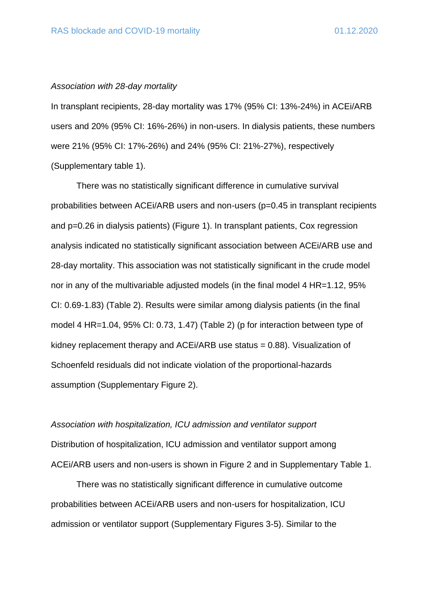### *Association with 28-day mortality*

In transplant recipients, 28-day mortality was 17% (95% CI: 13%-24%) in ACEi/ARB users and 20% (95% CI: 16%-26%) in non-users. In dialysis patients, these numbers were 21% (95% CI: 17%-26%) and 24% (95% CI: 21%-27%), respectively (Supplementary table 1).

There was no statistically significant difference in cumulative survival probabilities between ACEi/ARB users and non-users (p=0.45 in transplant recipients and p=0.26 in dialysis patients) (Figure 1). In transplant patients, Cox regression analysis indicated no statistically significant association between ACEi/ARB use and 28-day mortality. This association was not statistically significant in the crude model nor in any of the multivariable adjusted models (in the final model 4 HR=1.12, 95% CI: 0.69-1.83) (Table 2). Results were similar among dialysis patients (in the final model 4 HR=1.04, 95% CI: 0.73, 1.47) (Table 2) (p for interaction between type of kidney replacement therapy and ACEi/ARB use status = 0.88). Visualization of Schoenfeld residuals did not indicate violation of the proportional-hazards assumption (Supplementary Figure 2).

*Association with hospitalization, ICU admission and ventilator support* Distribution of hospitalization, ICU admission and ventilator support among ACEi/ARB users and non-users is shown in Figure 2 and in Supplementary Table 1.

There was no statistically significant difference in cumulative outcome probabilities between ACEi/ARB users and non-users for hospitalization, ICU admission or ventilator support (Supplementary Figures 3-5). Similar to the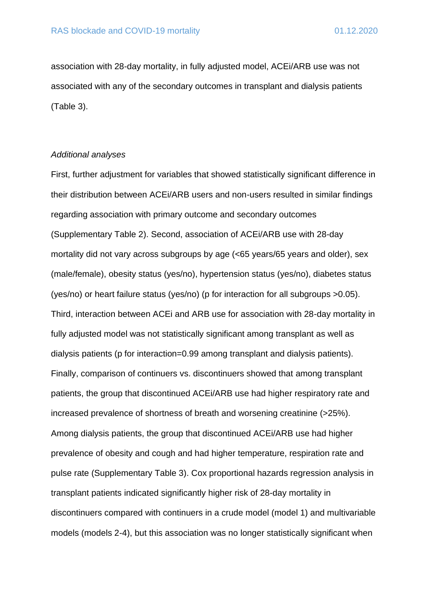association with 28-day mortality, in fully adjusted model, ACEi/ARB use was not associated with any of the secondary outcomes in transplant and dialysis patients (Table 3).

#### *Additional analyses*

First, further adjustment for variables that showed statistically significant difference in their distribution between ACEi/ARB users and non-users resulted in similar findings regarding association with primary outcome and secondary outcomes (Supplementary Table 2). Second, association of ACEi/ARB use with 28-day mortality did not vary across subgroups by age (<65 years/65 years and older), sex (male/female), obesity status (yes/no), hypertension status (yes/no), diabetes status (yes/no) or heart failure status (yes/no) (p for interaction for all subgroups >0.05). Third, interaction between ACEi and ARB use for association with 28-day mortality in fully adjusted model was not statistically significant among transplant as well as dialysis patients (p for interaction=0.99 among transplant and dialysis patients). Finally, comparison of continuers vs. discontinuers showed that among transplant patients, the group that discontinued ACEi/ARB use had higher respiratory rate and increased prevalence of shortness of breath and worsening creatinine (>25%). Among dialysis patients, the group that discontinued ACEi/ARB use had higher prevalence of obesity and cough and had higher temperature, respiration rate and pulse rate (Supplementary Table 3). Cox proportional hazards regression analysis in transplant patients indicated significantly higher risk of 28-day mortality in discontinuers compared with continuers in a crude model (model 1) and multivariable models (models 2-4), but this association was no longer statistically significant when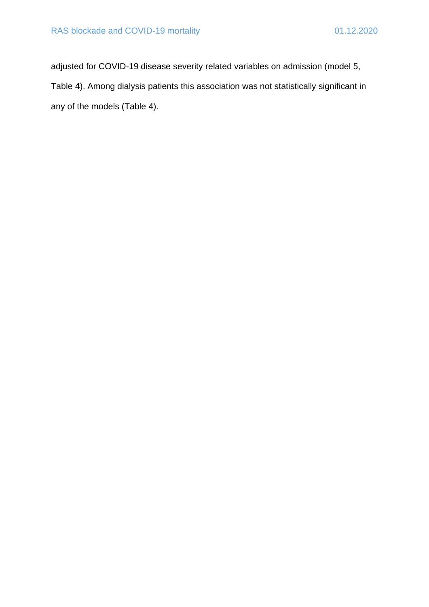adjusted for COVID-19 disease severity related variables on admission (model 5, Table 4). Among dialysis patients this association was not statistically significant in any of the models (Table 4).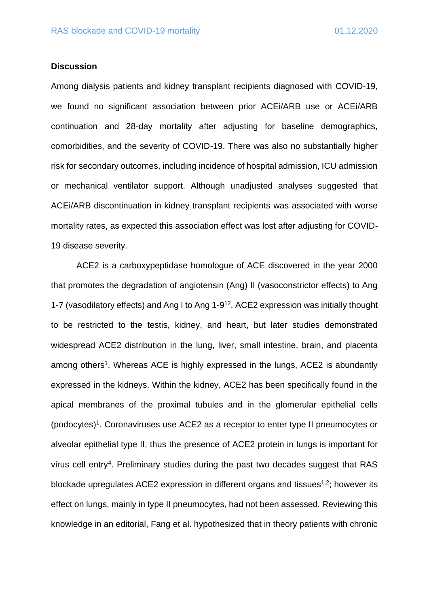#### **Discussion**

Among dialysis patients and kidney transplant recipients diagnosed with COVID-19, we found no significant association between prior ACEi/ARB use or ACEi/ARB continuation and 28-day mortality after adjusting for baseline demographics, comorbidities, and the severity of COVID-19. There was also no substantially higher risk for secondary outcomes, including incidence of hospital admission, ICU admission or mechanical ventilator support. Although unadjusted analyses suggested that ACEi/ARB discontinuation in kidney transplant recipients was associated with worse mortality rates, as expected this association effect was lost after adjusting for COVID-19 disease severity.

ACE2 is a carboxypeptidase homologue of ACE discovered in the year 2000 that promotes the degradation of angiotensin (Ang) II (vasoconstrictor effects) to Ang 1-7 (vasodilatory effects) and Ang I to Ang 1-9 <sup>12</sup>. ACE2 expression was initially thought to be restricted to the testis, kidney, and heart, but later studies demonstrated widespread ACE2 distribution in the lung, liver, small intestine, brain, and placenta among others<sup>1</sup>. Whereas ACE is highly expressed in the lungs, ACE2 is abundantly expressed in the kidneys. Within the kidney, ACE2 has been specifically found in the apical membranes of the proximal tubules and in the glomerular epithelial cells (podocytes)<sup>1</sup>. Coronaviruses use ACE2 as a receptor to enter type II pneumocytes or alveolar epithelial type II, thus the presence of ACE2 protein in lungs is important for virus cell entry<sup>4</sup>. Preliminary studies during the past two decades suggest that RAS blockade upregulates ACE2 expression in different organs and tissues<sup>1,2</sup>; however its effect on lungs, mainly in type II pneumocytes, had not been assessed. Reviewing this knowledge in an editorial, Fang et al. hypothesized that in theory patients with chronic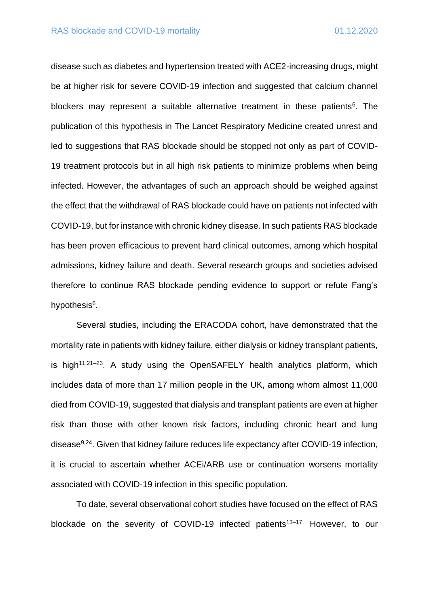disease such as diabetes and hypertension treated with ACE2-increasing drugs, might be at higher risk for severe COVID-19 infection and suggested that calcium channel blockers may represent a suitable alternative treatment in these patients<sup>6</sup>. The publication of this hypothesis in The Lancet Respiratory Medicine created unrest and led to suggestions that RAS blockade should be stopped not only as part of COVID-19 treatment protocols but in all high risk patients to minimize problems when being infected. However, the advantages of such an approach should be weighed against the effect that the withdrawal of RAS blockade could have on patients not infected with COVID-19, but for instance with chronic kidney disease. In such patients RAS blockade has been proven efficacious to prevent hard clinical outcomes, among which hospital admissions, kidney failure and death. Several research groups and societies advised therefore to continue RAS blockade pending evidence to support or refute Fang's hypothesis<sup>6</sup>.

Several studies, including the ERACODA cohort, have demonstrated that the mortality rate in patients with kidney failure, either dialysis or kidney transplant patients, is high<sup>11,21-23</sup>. A study using the OpenSAFELY health analytics platform, which includes data of more than 17 million people in the UK, among whom almost 11,000 died from COVID-19, suggested that dialysis and transplant patients are even at higher risk than those with other known risk factors, including chronic heart and lung disease<sup>9,24</sup>. Given that kidney failure reduces life expectancy after COVID-19 infection, it is crucial to ascertain whether ACEi/ARB use or continuation worsens mortality associated with COVID-19 infection in this specific population.

To date, several observational cohort studies have focused on the effect of RAS blockade on the severity of COVID-19 infected patients<sup>13-17.</sup> However, to our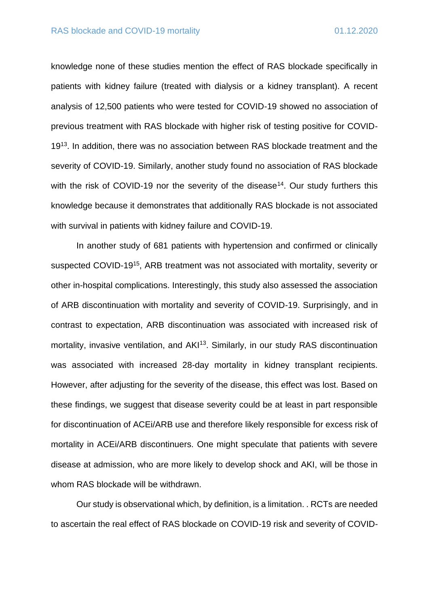knowledge none of these studies mention the effect of RAS blockade specifically in patients with kidney failure (treated with dialysis or a kidney transplant). A recent analysis of 12,500 patients who were tested for COVID-19 showed no association of previous treatment with RAS blockade with higher risk of testing positive for COVID-19<sup>13</sup>. In addition, there was no association between RAS blockade treatment and the severity of COVID-19. Similarly, another study found no association of RAS blockade with the risk of COVID-19 nor the severity of the disease<sup>14</sup>. Our study furthers this knowledge because it demonstrates that additionally RAS blockade is not associated with survival in patients with kidney failure and COVID-19.

In another study of 681 patients with hypertension and confirmed or clinically suspected COVID-19<sup>15</sup>, ARB treatment was not associated with mortality, severity or other in-hospital complications. Interestingly, this study also assessed the association of ARB discontinuation with mortality and severity of COVID-19. Surprisingly, and in contrast to expectation, ARB discontinuation was associated with increased risk of mortality, invasive ventilation, and AKI<sup>13</sup>. Similarly, in our study RAS discontinuation was associated with increased 28-day mortality in kidney transplant recipients. However, after adjusting for the severity of the disease, this effect was lost. Based on these findings, we suggest that disease severity could be at least in part responsible for discontinuation of ACEi/ARB use and therefore likely responsible for excess risk of mortality in ACEi/ARB discontinuers. One might speculate that patients with severe disease at admission, who are more likely to develop shock and AKI, will be those in whom RAS blockade will be withdrawn.

Our study is observational which, by definition, is a limitation. . RCTs are needed to ascertain the real effect of RAS blockade on COVID-19 risk and severity of COVID-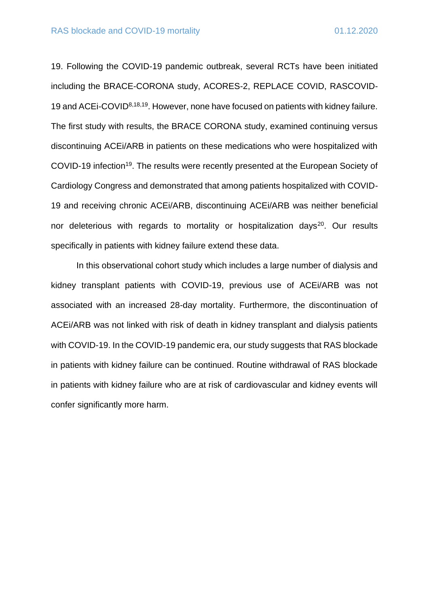19. Following the COVID-19 pandemic outbreak, several RCTs have been initiated including the BRACE-CORONA study, ACORES-2, REPLACE COVID, RASCOVID-19 and ACEi-COVID8,18,19. However, none have focused on patients with kidney failure. The first study with results, the BRACE CORONA study, examined continuing versus discontinuing ACEi/ARB in patients on these medications who were hospitalized with COVID-19 infection<sup>19</sup>. The results were recently presented at the European Society of Cardiology Congress and demonstrated that among patients hospitalized with COVID-19 and receiving chronic ACEi/ARB, discontinuing ACEi/ARB was neither beneficial nor deleterious with regards to mortality or hospitalization days<sup>20</sup>. Our results specifically in patients with kidney failure extend these data.

In this observational cohort study which includes a large number of dialysis and kidney transplant patients with COVID-19, previous use of ACEi/ARB was not associated with an increased 28-day mortality. Furthermore, the discontinuation of ACEi/ARB was not linked with risk of death in kidney transplant and dialysis patients with COVID-19. In the COVID-19 pandemic era, our study suggests that RAS blockade in patients with kidney failure can be continued. Routine withdrawal of RAS blockade in patients with kidney failure who are at risk of cardiovascular and kidney events will confer significantly more harm.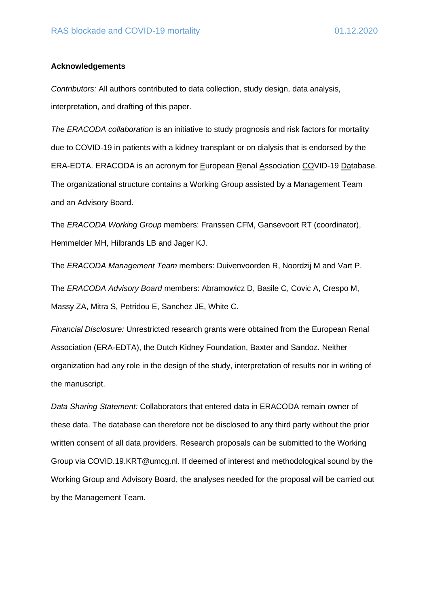#### **Acknowledgements**

*Contributors:* All authors contributed to data collection, study design, data analysis, interpretation, and drafting of this paper.

*The ERACODA collaboration* is an initiative to study prognosis and risk factors for mortality due to COVID-19 in patients with a kidney transplant or on dialysis that is endorsed by the ERA-EDTA. ERACODA is an acronym for European Renal Association COVID-19 Database. The organizational structure contains a Working Group assisted by a Management Team and an Advisory Board.

The *ERACODA Working Group* members: Franssen CFM, Gansevoort RT (coordinator), Hemmelder MH, Hilbrands LB and Jager KJ.

The *ERACODA Management Team* members: Duivenvoorden R, Noordzij M and Vart P. The *ERACODA Advisory Board* members: Abramowicz D, Basile C, Covic A, Crespo M, Massy ZA, Mitra S, Petridou E, Sanchez JE, White C.

*Financial Disclosure:* Unrestricted research grants were obtained from the European Renal Association (ERA-EDTA), the Dutch Kidney Foundation, Baxter and Sandoz. Neither organization had any role in the design of the study, interpretation of results nor in writing of the manuscript.

*Data Sharing Statement:* Collaborators that entered data in ERACODA remain owner of these data. The database can therefore not be disclosed to any third party without the prior written consent of all data providers. Research proposals can be submitted to the Working Group via COVID.19.KRT@umcg.nl. If deemed of interest and methodological sound by the Working Group and Advisory Board, the analyses needed for the proposal will be carried out by the Management Team.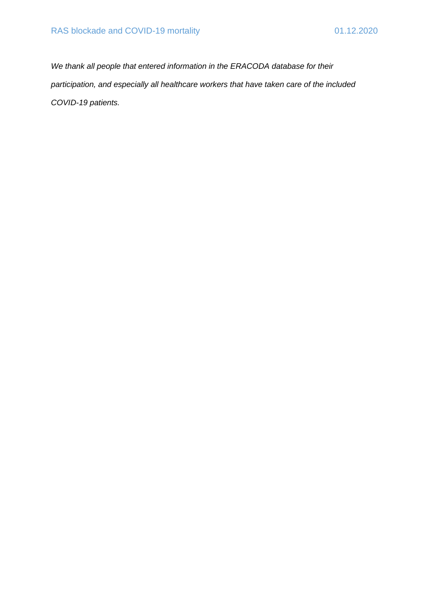*We thank all people that entered information in the ERACODA database for their participation, and especially all healthcare workers that have taken care of the included COVID-19 patients.*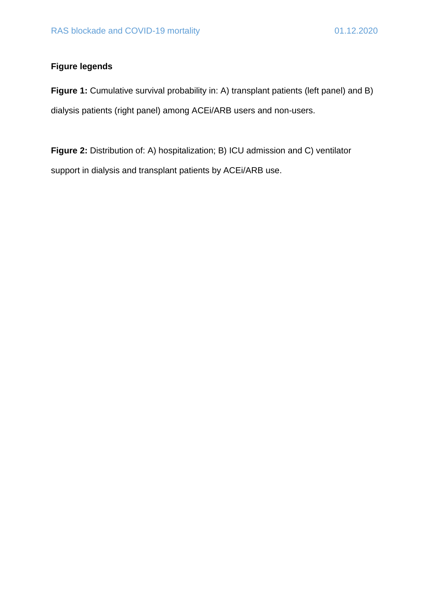## **Figure legends**

**Figure 1:** Cumulative survival probability in: A) transplant patients (left panel) and B) dialysis patients (right panel) among ACEi/ARB users and non-users.

**Figure 2:** Distribution of: A) hospitalization; B) ICU admission and C) ventilator support in dialysis and transplant patients by ACEi/ARB use.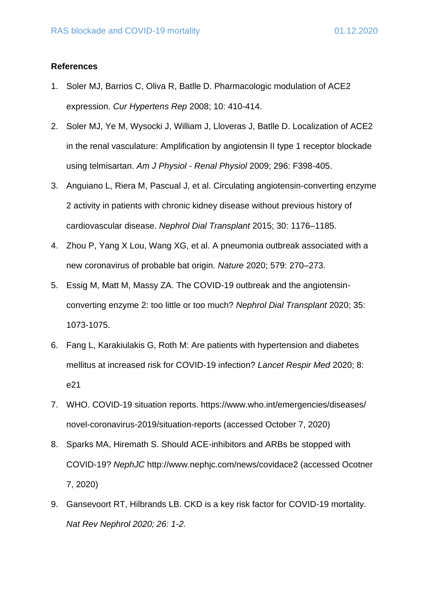#### **References**

- 1. Soler MJ, Barrios C, Oliva R, Batlle D. Pharmacologic modulation of ACE2 expression. *Cur Hypertens Rep* 2008; 10: 410-414.
- 2. Soler MJ, Ye M, Wysocki J, William J, Lloveras J, Batlle D. Localization of ACE2 in the renal vasculature: Amplification by angiotensin II type 1 receptor blockade using telmisartan. *Am J Physiol - Renal Physiol* 2009; 296: F398-405.
- 3. Anguiano L, Riera M, Pascual J, et al. Circulating angiotensin-converting enzyme 2 activity in patients with chronic kidney disease without previous history of cardiovascular disease. *Nephrol Dial Transplant* 2015; 30: 1176–1185.
- 4. Zhou P, Yang X Lou, Wang XG, et al. A pneumonia outbreak associated with a new coronavirus of probable bat origin. *Nature* 2020; 579: 270–273.
- 5. Essig M, Matt M, Massy ZA. The COVID-19 outbreak and the angiotensinconverting enzyme 2: too little or too much? *Nephrol Dial Transplant* 2020; 35: 1073-1075.
- 6. Fang L, Karakiulakis G, Roth M: Are patients with hypertension and diabetes mellitus at increased risk for COVID-19 infection? *Lancet Respir Med* 2020; 8: e21
- 7. WHO. COVID-19 situation reports. https://www.who.int/emergencies/diseases/ novel-coronavirus-2019/situation-reports (accessed October 7, 2020)
- 8. Sparks MA, Hiremath S. Should ACE-inhibitors and ARBs be stopped with COVID-19? *NephJC* http://www.nephjc.com/news/covidace2 (accessed Ocotner 7, 2020)
- 9. Gansevoort RT, Hilbrands LB. CKD is a key risk factor for COVID-19 mortality. *Nat Rev Nephrol 2020; 26: 1-2.*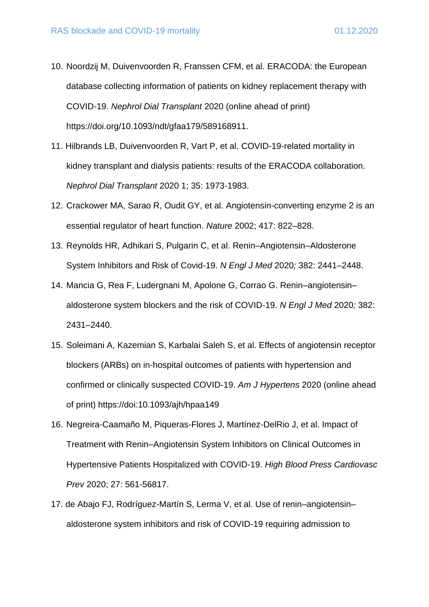- 10. Noordzij M, Duivenvoorden R, Franssen CFM, et al. ERACODA: the European database collecting information of patients on kidney replacement therapy with COVID-19. *Nephrol Dial Transplant* 2020 (online ahead of print) https://doi.org/10.1093/ndt/gfaa179/589168911.
- 11. Hilbrands LB, Duivenvoorden R, Vart P, et al. COVID-19-related mortality in kidney transplant and dialysis patients: results of the ERACODA collaboration. *Nephrol Dial Transplant* 2020 1; 35: 1973-1983.
- 12. Crackower MA, Sarao R, Oudit GY, et al. Angiotensin-converting enzyme 2 is an essential regulator of heart function. *Nature* 2002; 417: 822–828.
- 13. Reynolds HR, Adhikari S, Pulgarin C, et al. Renin–Angiotensin–Aldosterone System Inhibitors and Risk of Covid-19. *N Engl J Med* 2020*;* 382: 2441–2448.
- 14. Mancia G, Rea F, Ludergnani M, Apolone G, Corrao G. Renin–angiotensin– aldosterone system blockers and the risk of COVID-19. *N Engl J Med* 2020*;* 382: 2431–2440.
- 15. Soleimani A, Kazemian S, Karbalai Saleh S, et al. Effects of angiotensin receptor blockers (ARBs) on in-hospital outcomes of patients with hypertension and confirmed or clinically suspected COVID-19. *Am J Hypertens* 2020 (online ahead of print) https://doi:10.1093/ajh/hpaa149
- 16. Negreira-Caamaño M, Piqueras-Flores J, Martínez-DelRio J, et al. Impact of Treatment with Renin–Angiotensin System Inhibitors on Clinical Outcomes in Hypertensive Patients Hospitalized with COVID-19. *High Blood Press Cardiovasc Prev* 2020; 27: 561-56817.
- 17. de Abajo FJ, Rodríguez-Martín S, Lerma V, et al. Use of renin–angiotensin– aldosterone system inhibitors and risk of COVID-19 requiring admission to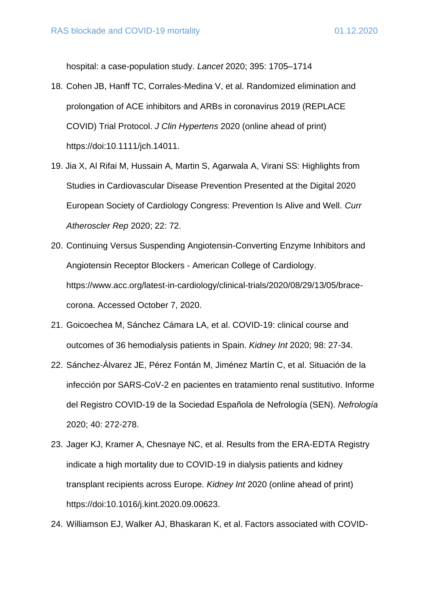hospital: a case-population study. *Lancet* 2020; 395: 1705–1714

- 18. Cohen JB, Hanff TC, Corrales-Medina V, et al. Randomized elimination and prolongation of ACE inhibitors and ARBs in coronavirus 2019 (REPLACE COVID) Trial Protocol. *J Clin Hypertens* 2020 (online ahead of print) https://doi:10.1111/jch.14011.
- 19. Jia X, Al Rifai M, Hussain A, Martin S, Agarwala A, Virani SS: Highlights from Studies in Cardiovascular Disease Prevention Presented at the Digital 2020 European Society of Cardiology Congress: Prevention Is Alive and Well. *Curr Atheroscler Rep* 2020; 22: 72.
- 20. Continuing Versus Suspending Angiotensin-Converting Enzyme Inhibitors and Angiotensin Receptor Blockers - American College of Cardiology. https://www.acc.org/latest-in-cardiology/clinical-trials/2020/08/29/13/05/bracecorona. Accessed October 7, 2020.
- 21. Goicoechea M, Sánchez Cámara LA, et al. COVID-19: clinical course and outcomes of 36 hemodialysis patients in Spain. *Kidney Int* 2020; 98: 27-34.
- 22. Sánchez-Álvarez JE, Pérez Fontán M, Jiménez Martín C, et al. Situación de la infección por SARS-CoV-2 en pacientes en tratamiento renal sustitutivo. Informe del Registro COVID-19 de la Sociedad Española de Nefrología (SEN). *Nefrología* 2020; 40: 272-278.
- 23. Jager KJ, Kramer A, Chesnaye NC, et al. Results from the ERA-EDTA Registry indicate a high mortality due to COVID-19 in dialysis patients and kidney transplant recipients across Europe. *Kidney Int* 2020 (online ahead of print) https://doi:10.1016/j.kint.2020.09.00623.
- 24. Williamson EJ, Walker AJ, Bhaskaran K, et al. Factors associated with COVID-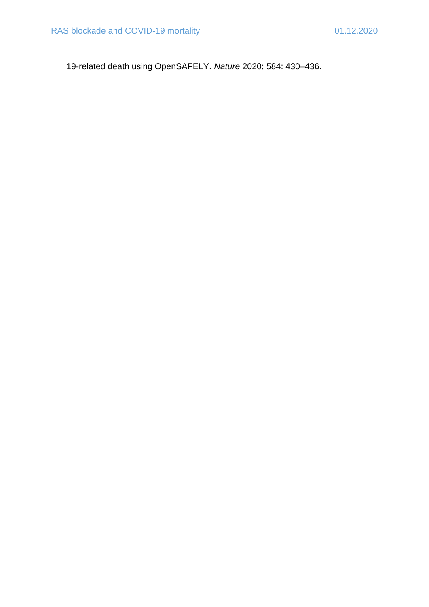19-related death using OpenSAFELY. *Nature* 2020; 584: 430–436.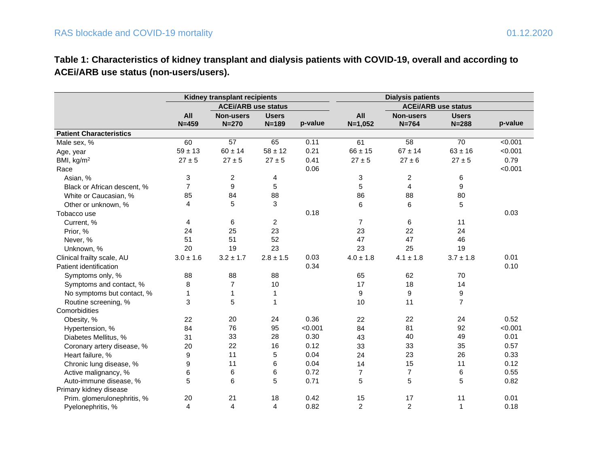# **Table 1: Characteristics of kidney transplant and dialysis patients with COVID-19, overall and according to ACEi/ARB use status (non-users/users).**

|                                | Kidney transplant recipients |                            |                |         |                |                  |                            |         |
|--------------------------------|------------------------------|----------------------------|----------------|---------|----------------|------------------|----------------------------|---------|
|                                |                              | <b>ACEi/ARB use status</b> |                |         |                |                  | <b>ACEi/ARB use status</b> |         |
|                                | All                          | <b>Non-users</b>           | <b>Users</b>   |         | All            | <b>Non-users</b> | <b>Users</b>               |         |
|                                | $N = 459$                    | $N = 270$                  | $N = 189$      | p-value | $N=1,052$      | $N = 764$        | $N = 288$                  | p-value |
| <b>Patient Characteristics</b> |                              |                            |                |         |                |                  |                            |         |
| Male sex, %                    | 60                           | 57                         | 65             | 0.11    | 61             | 58               | 70                         | < 0.001 |
| Age, year                      | $59 \pm 13$                  | $60 \pm 14$                | $58 \pm 12$    | 0.21    | $66 \pm 15$    | $67 \pm 14$      | $63 \pm 16$                | < 0.001 |
| BMI, kg/m <sup>2</sup>         | $27 \pm 5$                   | $27 \pm 5$                 | $27 \pm 5$     | 0.41    | $27 \pm 5$     | $27 \pm 6$       | $27 \pm 5$                 | 0.79    |
| Race                           |                              |                            |                | 0.06    |                |                  |                            | < 0.001 |
| Asian, %                       | 3                            | 2                          | 4              |         | 3              | 2                | 6                          |         |
| Black or African descent, %    | $\overline{7}$               | 9                          | 5              |         | 5              | 4                | 9                          |         |
| White or Caucasian, %          | 85                           | 84                         | 88             |         | 86             | 88               | 80                         |         |
| Other or unknown, %            | 4                            | 5                          | 3              |         | 6              | 6                | 5                          |         |
| Tobacco use                    |                              |                            |                | 0.18    |                |                  |                            | 0.03    |
| Current, %                     | 4                            | 6                          | $\overline{c}$ |         | $\overline{7}$ | 6                | 11                         |         |
| Prior, %                       | 24                           | 25                         | 23             |         | 23             | 22               | 24                         |         |
| Never, %                       | 51                           | 51                         | 52             |         | 47             | 47               | 46                         |         |
| Unknown, %                     | 20                           | 19                         | 23             |         | 23             | 25               | 19                         |         |
| Clinical frailty scale, AU     | $3.0 \pm 1.6$                | $3.2 \pm 1.7$              | $2.8 \pm 1.5$  | 0.03    | $4.0 \pm 1.8$  | $4.1 \pm 1.8$    | $3.7 \pm 1.8$              | 0.01    |
| Patient identification         |                              |                            |                | 0.34    |                |                  |                            | 0.10    |
| Symptoms only, %               | 88                           | 88                         | 88             |         | 65             | 62               | 70                         |         |
| Symptoms and contact, %        | 8                            | $\overline{7}$             | 10             |         | 17             | 18               | 14                         |         |
| No symptoms but contact, %     | 1                            | $\mathbf{1}$               | 1              |         | 9              | 9                | 9                          |         |
| Routine screening, %           | 3                            | 5                          | $\mathbf{1}$   |         | 10             | 11               | $\overline{7}$             |         |
| Comorbidities                  |                              |                            |                |         |                |                  |                            |         |
| Obesity, %                     | 22                           | 20                         | 24             | 0.36    | 22             | 22               | 24                         | 0.52    |
| Hypertension, %                | 84                           | 76                         | 95             | < 0.001 | 84             | 81               | 92                         | < 0.001 |
| Diabetes Mellitus, %           | 31                           | 33                         | 28             | 0.30    | 43             | 40               | 49                         | 0.01    |
| Coronary artery disease, %     | 20                           | 22                         | 16             | 0.12    | 33             | 33               | 35                         | 0.57    |
| Heart failure, %               | 9                            | 11                         | 5              | 0.04    | 24             | 23               | 26                         | 0.33    |
| Chronic lung disease, %        | 9                            | 11                         | 6              | 0.04    | 14             | 15               | 11                         | 0.12    |
| Active malignancy, %           | 6                            | 6                          | 6              | 0.72    | 7              | $\overline{7}$   | 6                          | 0.55    |
| Auto-immune disease, %         | 5                            | 6                          | 5              | 0.71    | 5              | 5                | 5                          | 0.82    |
| Primary kidney disease         |                              |                            |                |         |                |                  |                            |         |
| Prim. glomerulonephritis, %    | 20                           | 21                         | 18             | 0.42    | 15             | 17               | 11                         | 0.01    |
| Pyelonephritis, %              | 4                            | 4                          | $\overline{4}$ | 0.82    | $\overline{2}$ | $\overline{c}$   | $\mathbf{1}$               | 0.18    |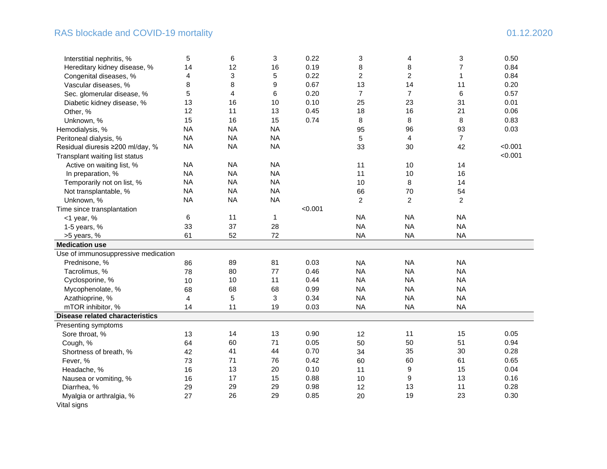#### RAS blockade and COVID-19 mortality and the state of the state of the state of the state of the state of the state of the state of the state of the state of the state of the state of the state of the state of the state of

| Interstitial nephritis, %              | 5         | 6              | 3            | 0.22    | 3              | 4              | 3              | 0.50    |
|----------------------------------------|-----------|----------------|--------------|---------|----------------|----------------|----------------|---------|
| Hereditary kidney disease, %           | 14        | 12             | 16           | 0.19    | 8              | 8              | 7              | 0.84    |
| Congenital diseases, %                 | 4         | 3              | 5            | 0.22    | $\overline{c}$ | $\overline{c}$ | 1              | 0.84    |
| Vascular diseases, %                   | 8         | 8              | 9            | 0.67    | 13             | 14             | 11             | 0.20    |
| Sec. glomerular disease, %             | 5         | 4              | 6            | 0.20    | $\overline{7}$ | $\overline{7}$ | 6              | 0.57    |
| Diabetic kidney disease, %             | 13        | 16             | 10           | 0.10    | 25             | 23             | 31             | 0.01    |
| Other, %                               | 12        | 11             | 13           | 0.45    | 18             | 16             | 21             | 0.06    |
| Unknown, %                             | 15        | 16             | 15           | 0.74    | 8              | 8              | 8              | 0.83    |
| Hemodialysis, %                        | <b>NA</b> | <b>NA</b>      | <b>NA</b>    |         | 95             | 96             | 93             | 0.03    |
| Peritoneal dialysis, %                 | <b>NA</b> | <b>NA</b>      | <b>NA</b>    |         | 5              | 4              | $\overline{7}$ |         |
| Residual diuresis ≥200 ml/day, %       | <b>NA</b> | <b>NA</b>      | <b>NA</b>    |         | 33             | 30             | 42             | < 0.001 |
| Transplant waiting list status         |           |                |              |         |                |                |                | < 0.001 |
| Active on waiting list, %              | <b>NA</b> | <b>NA</b>      | <b>NA</b>    |         | 11             | 10             | 14             |         |
| In preparation, %                      | <b>NA</b> | <b>NA</b>      | <b>NA</b>    |         | 11             | 10             | 16             |         |
| Temporarily not on list, %             | <b>NA</b> | <b>NA</b>      | <b>NA</b>    |         | 10             | 8              | 14             |         |
| Not transplantable, %                  | <b>NA</b> | <b>NA</b>      | <b>NA</b>    |         | 66             | 70             | 54             |         |
| Unknown, %                             | <b>NA</b> | <b>NA</b>      | <b>NA</b>    |         | $\overline{2}$ | $\overline{2}$ | $\overline{2}$ |         |
| Time since transplantation             |           |                |              | < 0.001 |                |                |                |         |
| $<$ 1 year, %                          | 6         | 11             | $\mathbf{1}$ |         | <b>NA</b>      | <b>NA</b>      | <b>NA</b>      |         |
| 1-5 years, %                           | 33        | 37             | 28           |         | <b>NA</b>      | <b>NA</b>      | <b>NA</b>      |         |
| >5 years, %                            | 61        | 52             | 72           |         | <b>NA</b>      | <b>NA</b>      | <b>NA</b>      |         |
| <b>Medication use</b>                  |           |                |              |         |                |                |                |         |
| Use of immunosuppressive medication    |           |                |              |         |                |                |                |         |
| Prednisone, %                          | 86        | 89             | 81           | 0.03    | <b>NA</b>      | <b>NA</b>      | <b>NA</b>      |         |
| Tacrolimus, %                          | 78        | 80             | 77           | 0.46    | <b>NA</b>      | <b>NA</b>      | <b>NA</b>      |         |
| Cyclosporine, %                        | 10        | 10             | 11           | 0.44    | <b>NA</b>      | <b>NA</b>      | <b>NA</b>      |         |
| Mycophenolate, %                       | 68        | 68             | 68           | 0.99    | <b>NA</b>      | <b>NA</b>      | <b>NA</b>      |         |
| Azathioprine, %                        | 4         | $\overline{5}$ | 3            | 0.34    | <b>NA</b>      | <b>NA</b>      | <b>NA</b>      |         |
| mTOR inhibitor, %                      | 14        | 11             | 19           | 0.03    | <b>NA</b>      | <b>NA</b>      | <b>NA</b>      |         |
| <b>Disease related characteristics</b> |           |                |              |         |                |                |                |         |
| Presenting symptoms                    |           |                |              |         |                |                |                |         |
| Sore throat, %                         | 13        | 14             | 13           | 0.90    | 12             | 11             | 15             | 0.05    |
| Cough, %                               | 64        | 60             | 71           | 0.05    | 50             | 50             | 51             | 0.94    |
| Shortness of breath, %                 | 42        | 41             | 44           | 0.70    | 34             | 35             | 30             | 0.28    |
| Fever, %                               | 73        | 71             | 76           | 0.42    | 60             | 60             | 61             | 0.65    |
| Headache, %                            | 16        | 13             | 20           | 0.10    | 11             | 9              | 15             | 0.04    |
| Nausea or vomiting, %                  | 16        | 17             | 15           | 0.88    | 10             | 9              | 13             | 0.16    |
| Diarrhea, %                            | 29        | 29             | 29           | 0.98    | 12             | 13             | 11             | 0.28    |
| Myalgia or arthralgia, %               | 27        | 26             | 29           | 0.85    | 20             | 19             | 23             | 0.30    |
| Vital signs                            |           |                |              |         |                |                |                |         |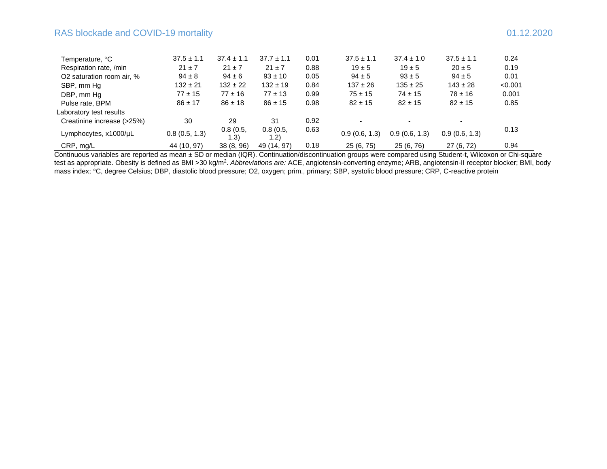### RAS blockade and COVID-19 mortality and  $\frac{1}{2}$  and  $\frac{1}{2}$  mortality 01.12.2020

| Temperature, °C            | $37.5 \pm 1.1$ | $37.4 \pm 1.1$    | $37.7 \pm 1.1$    | 0.01 | $37.5 \pm 1.1$ | $37.4 \pm 1.0$ | $37.5 \pm 1.1$ | 0.24    |
|----------------------------|----------------|-------------------|-------------------|------|----------------|----------------|----------------|---------|
| Respiration rate, /min     | $21 \pm 7$     | $21 \pm 7$        | $21 \pm 7$        | 0.88 | $19 \pm 5$     | $19 \pm 5$     | $20 \pm 5$     | 0.19    |
| O2 saturation room air, %  | $94 \pm 8$     | $94 \pm 6$        | $93 \pm 10$       | 0.05 | $94 \pm 5$     | $93 \pm 5$     | $94 \pm 5$     | 0.01    |
| SBP, mm Hq                 | $132 \pm 21$   | $132 \pm 22$      | $132 \pm 19$      | 0.84 | $137 \pm 26$   | $135 \pm 25$   | $143 \pm 28$   | < 0.001 |
| DBP, mm Hq                 | $77 \pm 15$    | $77 \pm 16$       | $77 \pm 13$       | 0.99 | $75 \pm 15$    | $74 \pm 15$    | $78 \pm 16$    | 0.001   |
| Pulse rate, BPM            | $86 \pm 17$    | $86 \pm 18$       | $86 \pm 15$       | 0.98 | $82 \pm 15$    | $82 \pm 15$    | $82 \pm 15$    | 0.85    |
| Laboratory test results    |                |                   |                   |      |                |                |                |         |
| Creatinine increase (>25%) | 30             | 29                | 31                | 0.92 |                |                |                |         |
| Lymphocytes, x1000/uL      | 0.8(0.5, 1.3)  | 0.8(0.5,<br>(1.3) | 0.8(0.5,<br>(1.2) | 0.63 | 0.9(0.6, 1.3)  | 0.9(0.6, 1.3)  | 0.9(0.6, 1.3)  | 0.13    |
| CRP, mg/L                  | 44 (10, 97)    | 38 (8, 96)        | 49 (14, 97)       | 0.18 | 25 (6, 75)     | 25 (6, 76)     | 27 (6, 72)     | 0.94    |

Continuous variables are reported as mean ± SD or median (IQR). Continuation/discontinuation groups were compared using Student-t, Wilcoxon or Chi-square test as appropriate. Obesity is defined as BMI >30 kg/m<sup>2</sup>. Abbreviations are: ACE, angiotensin-converting enzyme; ARB, angiotensin-II receptor blocker; BMI, body mass index; <sup>o</sup>C, degree Celsius; DBP, diastolic blood pressure; O2, oxygen; prim., primary; SBP, systolic blood pressure; CRP, C-reactive protein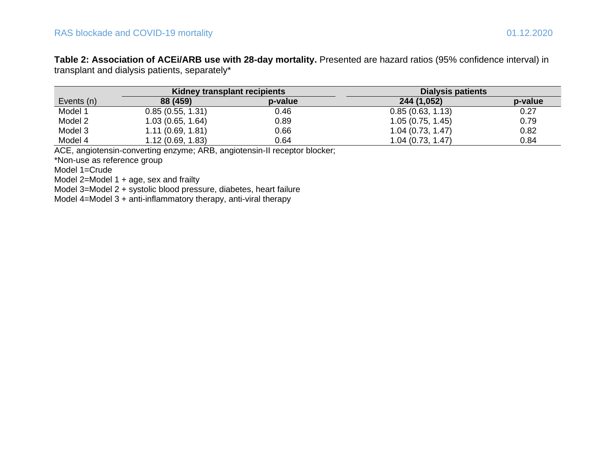**Table 2: Association of ACEi/ARB use with 28-day mortality.** Presented are hazard ratios (95% confidence interval) in transplant and dialysis patients, separately\*

|            | Kidney transplant recipients |         | Dialysis patients |         |
|------------|------------------------------|---------|-------------------|---------|
| Events (n) | 88 (459)                     | p-value | 244 (1,052)       | p-value |
| Model 1    | 0.85(0.55, 1.31)             | 0.46    | 0.85(0.63, 1.13)  | 0.27    |
| Model 2    | 1.03(0.65, 1.64)             | 0.89    | 1.05(0.75, 1.45)  | 0.79    |
| Model 3    | 1.11(0.69, 1.81)             | 0.66    | 1.04(0.73, 1.47)  | 0.82    |
| Model 4    | 1.12(0.69, 1.83)             | 0.64    | 1.04(0.73, 1.47)  | 0.84    |

ACE, angiotensin-converting enzyme; ARB, angiotensin-II receptor blocker;

\*Non-use as reference group

Model 1=Crude

Model 2=Model 1 + age, sex and frailty

Model 3=Model 2 + systolic blood pressure, diabetes, heart failure

Model 4=Model 3 + anti-inflammatory therapy, anti-viral therapy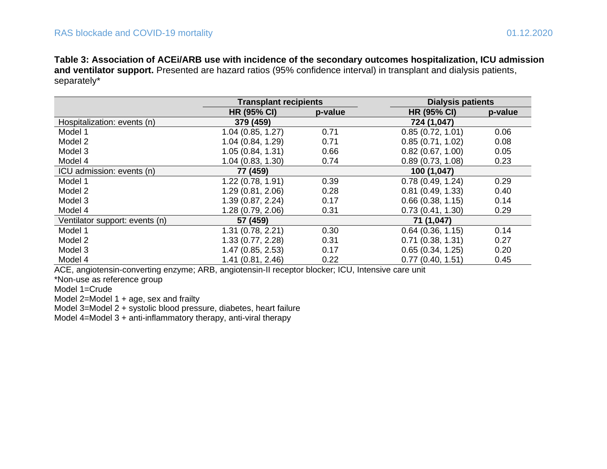**Table 3: Association of ACEi/ARB use with incidence of the secondary outcomes hospitalization, ICU admission and ventilator support.** Presented are hazard ratios (95% confidence interval) in transplant and dialysis patients, separately\*

|                                | <b>Transplant recipients</b> |         | <b>Dialysis patients</b> |         |
|--------------------------------|------------------------------|---------|--------------------------|---------|
|                                | <b>HR (95% CI)</b>           | p-value | <b>HR (95% CI)</b>       | p-value |
| Hospitalization: events (n)    | 379 (459)                    |         | 724 (1,047)              |         |
| Model 1                        | 1.04(0.85, 1.27)             | 0.71    | 0.85(0.72, 1.01)         | 0.06    |
| Model 2                        | 1.04 (0.84, 1.29)            | 0.71    | 0.85(0.71, 1.02)         | 0.08    |
| Model 3                        | 1.05(0.84, 1.31)             | 0.66    | 0.82(0.67, 1.00)         | 0.05    |
| Model 4                        | 1.04 (0.83, 1.30)            | 0.74    | 0.89(0.73, 1.08)         | 0.23    |
| ICU admission: events (n)      | 77 (459)                     |         | 100 (1,047)              |         |
| Model 1                        | 1.22(0.78, 1.91)             | 0.39    | 0.78(0.49, 1.24)         | 0.29    |
| Model 2                        | 1.29 (0.81, 2.06)            | 0.28    | 0.81(0.49, 1.33)         | 0.40    |
| Model 3                        | 1.39 (0.87, 2.24)            | 0.17    | 0.66(0.38, 1.15)         | 0.14    |
| Model 4                        | 1.28 (0.79, 2.06)            | 0.31    | 0.73(0.41, 1.30)         | 0.29    |
| Ventilator support: events (n) | 57 (459)                     |         | 71 (1,047)               |         |
| Model 1                        | 1.31 (0.78, 2.21)            | 0.30    | 0.64(0.36, 1.15)         | 0.14    |
| Model 2                        | 1.33 (0.77, 2.28)            | 0.31    | 0.71(0.38, 1.31)         | 0.27    |
| Model 3                        | 1.47 (0.85, 2.53)            | 0.17    | 0.65(0.34, 1.25)         | 0.20    |
| Model 4                        | 1.41 (0.81, 2.46)            | 0.22    | 0.77(0.40, 1.51)         | 0.45    |

ACE, angiotensin-converting enzyme; ARB, angiotensin-II receptor blocker; ICU, Intensive care unit

\*Non-use as reference group

Model 1=Crude

Model  $2=$ Model 1 + age, sex and frailty

Model 3=Model 2 + systolic blood pressure, diabetes, heart failure

Model 4=Model 3 + anti-inflammatory therapy, anti-viral therapy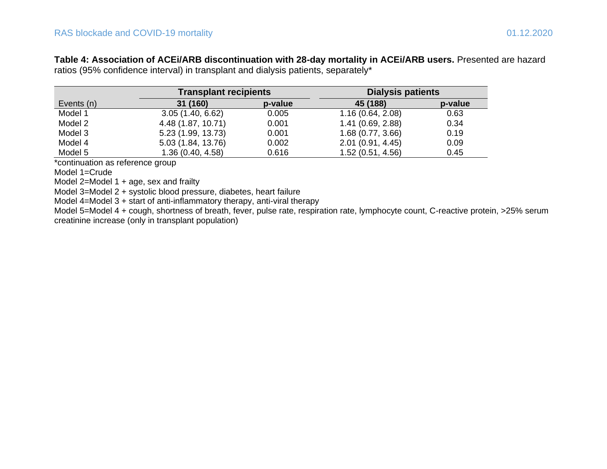**Table 4: Association of ACEi/ARB discontinuation with 28-day mortality in ACEi/ARB users.** Presented are hazard ratios (95% confidence interval) in transplant and dialysis patients, separately\*

|            | <b>Transplant recipients</b> |         | <b>Dialysis patients</b> |         |  |  |
|------------|------------------------------|---------|--------------------------|---------|--|--|
| Events (n) | 31 (160)                     | p-value | 45 (188)                 | p-value |  |  |
| Model 1    | 3.05(1.40, 6.62)             | 0.005   | 1.16(0.64, 2.08)         | 0.63    |  |  |
| Model 2    | 4.48 (1.87, 10.71)           | 0.001   | 1.41(0.69, 2.88)         | 0.34    |  |  |
| Model 3    | 5.23 (1.99, 13.73)           | 0.001   | 1.68(0.77, 3.66)         | 0.19    |  |  |
| Model 4    | 5.03 (1.84, 13.76)           | 0.002   | 2.01(0.91, 4.45)         | 0.09    |  |  |
| Model 5    | 1.36(0.40, 4.58)             | 0.616   | 1.52(0.51, 4.56)         | 0.45    |  |  |

\*continuation as reference group

Model 1=Crude

Model 2=Model 1 + age, sex and frailty

Model 3=Model 2 + systolic blood pressure, diabetes, heart failure

Model 4=Model 3 + start of anti-inflammatory therapy, anti-viral therapy

Model 5=Model 4 + cough, shortness of breath, fever, pulse rate, respiration rate, lymphocyte count, C-reactive protein, >25% serum creatinine increase (only in transplant population)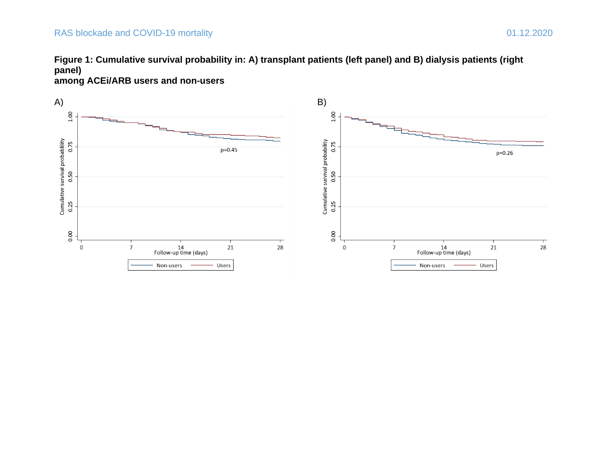## RAS blockade and COVID-19 mortality 01.12.2020





**among ACEi/ARB users and non-users**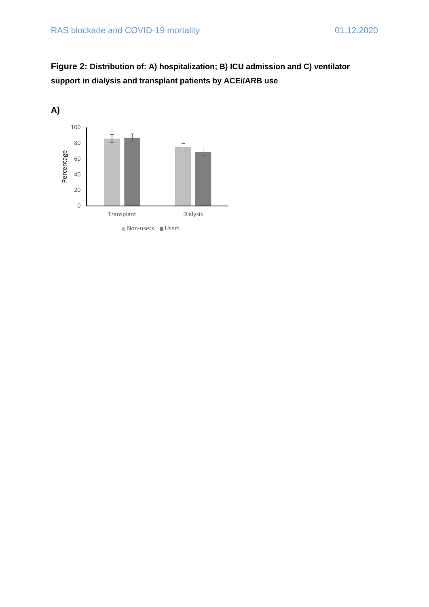

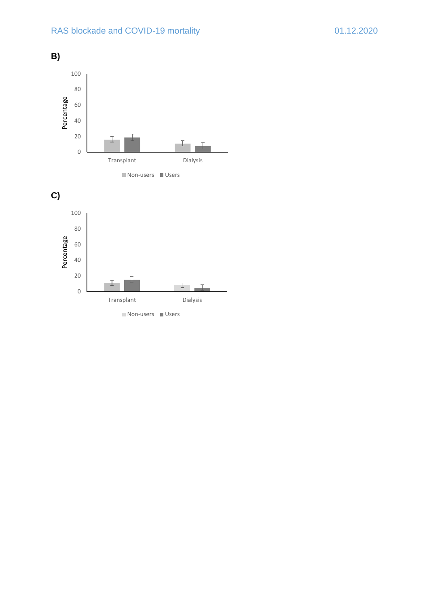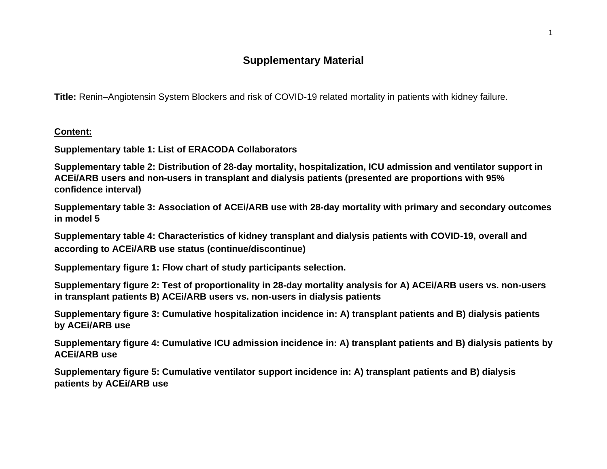# **Supplementary Material**

**Title:** Renin–Angiotensin System Blockers and risk of COVID-19 related mortality in patients with kidney failure.

**Content:**

**Supplementary table 1: List of ERACODA Collaborators**

**Supplementary table 2: Distribution of 28-day mortality, hospitalization, ICU admission and ventilator support in ACEi/ARB users and non-users in transplant and dialysis patients (presented are proportions with 95% confidence interval)**

**Supplementary table 3: Association of ACEi/ARB use with 28-day mortality with primary and secondary outcomes in model 5**

**Supplementary table 4: Characteristics of kidney transplant and dialysis patients with COVID-19, overall and according to ACEi/ARB use status (continue/discontinue)**

**Supplementary figure 1: Flow chart of study participants selection.**

**Supplementary figure 2: Test of proportionality in 28-day mortality analysis for A) ACEi/ARB users vs. non-users in transplant patients B) ACEi/ARB users vs. non-users in dialysis patients**

**Supplementary figure 3: Cumulative hospitalization incidence in: A) transplant patients and B) dialysis patients by ACEi/ARB use**

**Supplementary figure 4: Cumulative ICU admission incidence in: A) transplant patients and B) dialysis patients by ACEi/ARB use**

**Supplementary figure 5: Cumulative ventilator support incidence in: A) transplant patients and B) dialysis patients by ACEi/ARB use**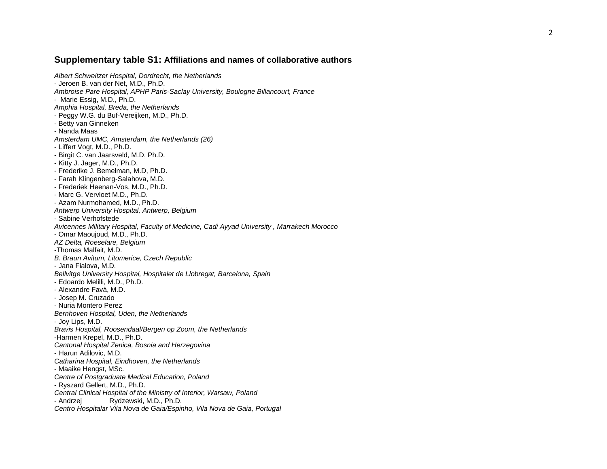#### Supplementary table S1: Affiliations and names of collaborative authors

*Albert Schweitzer Hospital, Dordrecht, the Netherlands* - Jeroen B. van der Net, M.D., Ph.D. *Ambroise Pare Hospital, APHP Paris -Saclay University, Boulogne Billancourt, France*  - Marie Essig, M.D., Ph.D. *Amphia Hospital, Breda, the Netherlands* - Peggy W.G. du Buf-Vereijken, M.D., Ph.D. - Betty van Ginneken - Nanda Maas *Amsterdam UMC, Amsterdam, the Netherlands (26)* - Liffert Vogt, M.D., Ph.D. - Birgit C. van Jaarsveld, M.D, Ph.D. - Kitty J. Jager, M.D., Ph.D. - Frederike J. Bemelman, M.D, Ph.D. - Farah Klingenberg-Salahova, M.D. - Frederiek Heenan-Vos, M.D., Ph.D. - Marc G. Vervloet M.D., Ph.D. - Azam Nurmohamed, M.D., Ph.D. *Antwerp University Hospital, Antwerp, Belgium* - Sabine Verhofstede *Avicennes Military Hospital, Faculty of Medicine, Cadi Ayyad University , Marrakech Morocco* - Omar Maoujoud, M.D., Ph.D. *AZ Delta, Roeselare, Belgium* -Thomas Malfait, M.D. *B. Braun Avitum, Litomerice, Czech Republic* - Jana Fialova, M.D. *Bellvitge University Hospital, Hospitalet de Llobregat, Barcelona, Spain* - Edoardo Melilli, M.D., Ph.D. - Alexandre Favà, M.D. - Josep M. Cruzado - Nuria Montero Perez *Bernhoven Hospital, Uden, the Netherlands* - Joy Lips, M.D. *Bravis Hospital, Roosendaal/Bergen op Zoom, the Netherlands* -Harmen Krepel, M.D., Ph.D. *Cantonal Hospital Zenica, Bosnia and Herzegovina* - Harun Adilovic, M.D. *Catharina Hospital, Eindhoven, the Netherlands* - Maaike Hengst, MSc. *Centre of Postgraduate Medical Education, Poland* - Ryszard Gellert, M.D., Ph.D. *Central Clinical Hospital of the Ministry of Interior, Warsaw, Poland* - Andrzej Rydzewski, M.D., Ph.D. *Centro Hospitalar Vila Nova de Gaia/Espinho, Vila Nova de Gaia, Portugal*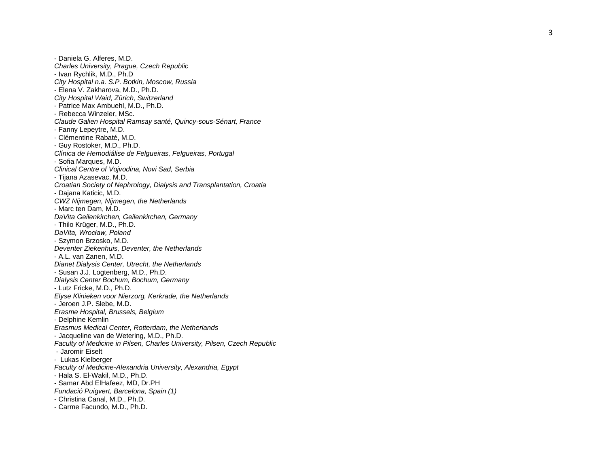- Daniela G. Alferes, M.D. *Charles University, Prague, Czech Republic* - Ivan Rychlik, M.D., Ph.D *City Hospital n.a. S.P. Botkin, Moscow, Russia* - Elena V. Zakharova, M.D., Ph.D. *City Hospital Waid, Zürich, Switzerland* - Patrice Max Ambuehl, M.D., Ph.D. - Rebecca Winzeler, MSc. *Claude Galien Hospital Ramsay santé, Quincy -sous -Sénart, France* - Fanny Lepeytre, M.D.<br>- Clémentine Rabaté, M.D. - Guy Rostoker, M.D., Ph.D. *Clínica de Hemodiálise de Felgueiras, Felgueiras, Portugal* - Sofia Marques, M.D. *Clinical Centre of Vojvodina, Novi Sad, Serbia* - Tijana Azasevac, M.D. *Croatian Society of Nephrology, Dialysis and Transplantation, Croatia* - Dajana Katicic, M.D. *CWZ Nijmegen, Nijmegen, the Netherlands* - Marc ten Dam, M.D. *DaVita Geilenkirchen, Geilenkirchen, Germany* - Thilo Krüger, M.D., Ph.D. *DaVita, Wrocław, Poland* - Szymon Brzosko, M.D. *Deventer Ziekenhuis, Deventer, the Netherlands* - A.L. van Zanen, M.D. *Dianet Dialysis Center, Utrecht, the Netherlands* - Susan J.J. Logtenberg, M.D., Ph.D. *Dialysis Center Bochum, Bochum, Germany* - Lutz Fricke, M.D., Ph.D. *Elyse Klinieken voor Nierzorg, Kerkrade, the Netherlands* - Jeroen J.P. Slebe, M.D. *Erasme Hospital, Brussels, Belgium* - Delphine Kemlin *Erasmus Medical Center, Rotterdam, the Netherlands* - Jacqueline van de Wetering, M.D., Ph.D. *Faculty of Medicine in Pilsen, Charles University, Pilsen, Czech Republic* - Jaromir Eiselt - Lukas Kielberger *Faculty of Medicine -Alexandria University, Alexandria, Egypt*  - Hala S. El -Wakil, M.D., Ph.D. - Samar Abd ElHafeez, MD, Dr.PH *Fundació Puigvert, Barcelona, Spain (1)* - Christina Canal, M.D., Ph.D. - Carme Facundo, M.D., Ph.D.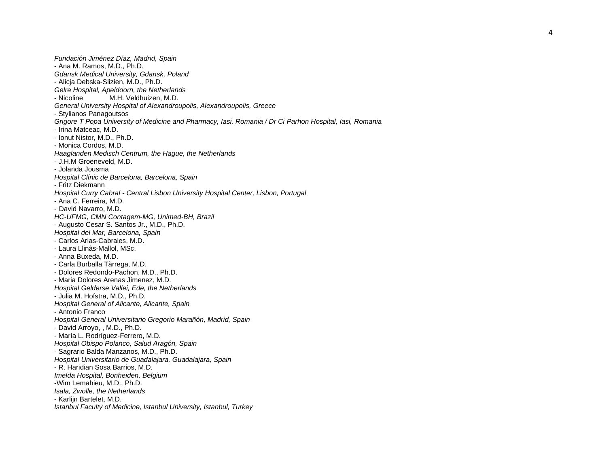*Fundación Jiménez Díaz, Madrid, Spain* - Ana M. Ramos, M.D., Ph.D. *Gdansk Medical University, Gdansk, Poland* - Alicja Debska-Slizien, M.D., Ph.D. *Gelre Hospital, Apeldoorn, the Netherlands* - Nicoline M.H. Veldhuizen, M.D. *General University Hospital of Alexandroupolis, Alexandroupolis, Greece* - Stylianos Panagoutsos *Grigore T Popa University of Medicine and Pharmacy, Iasi, Romania / Dr Ci Parhon Hospital, Iasi, Romania* - Irina Matceac, M.D. - Ionut Nistor, M.D., Ph.D. - Monica Cordos, M.D. *Haaglanden Medisch Centrum, the Hague, the Netherlands* - J.H.M Groeneveld, M.D. - Jolanda Jousma *Hospital Clínic de Barcelona, Barcelona, Spain* - Fritz Diekmann *Hospital Curry Cabral - Central Lisbon University Hospital Center, Lisbon, Portugal* - Ana C. Ferreira, M.D. - David Navarro, M.D. *HC -UFMG, CMN Contagem -MG, Unimed -BH, Brazil*  - Augusto Cesar S. Santos Jr., M.D., Ph.D. *Hospital del Mar, Barcelona, Spain* - Carlos Arias-Cabrales, M.D. - Laura Llinàs-Mallol, MSc. - Anna Buxeda, M.D. - Carla Burballa Tàrrega, M.D.<br>- Dolores Redondo-Pachon. M.D.. Ph.D. - Maria Dolores Arenas Jimenez, M.D. *Hospital Gelderse Vallei, Ede, the Netherlands* - Julia M. Hofstra, M.D., Ph.D. *Hospital General of Alicante, Alicante, Spain* - Antonio Franco *Hospital General Universitario Gregorio Marañón, Madrid, Spain -* David Arroyo, , M.D., Ph.D. - María L. Rodríguez-Ferrero, M.D. *Hospital Obispo Polanco, Salud Aragón, Spain* - Sagrario Balda Manzanos, M.D., Ph.D.

*Hospital Universitario de Guadalajara, Guadalajara, Spain* - R. Haridian Sosa Barrios, M.D.

*Imelda Hospital, Bonheiden, Belgium* -Wim Lemahieu, M.D., Ph.D.

*Isala, Zwolle, the Netherlands* 

- Karlijn Bartelet, M.D.

*Istanbul Faculty of Medicine, Istanbul University, Istanbul, Turkey*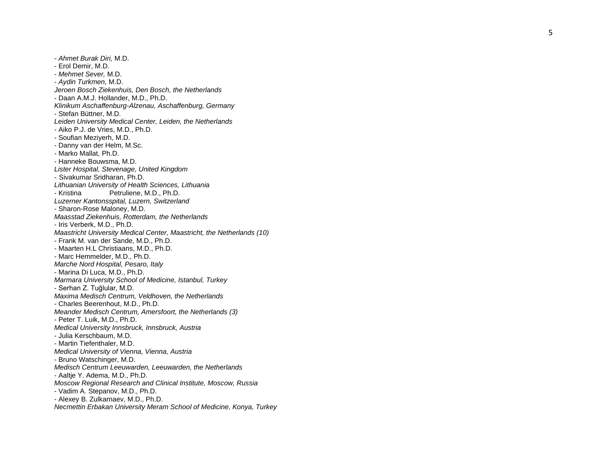*- Ahmet Burak Diri,* M.D. - Erol Demir, M.D. *- Mehmet Sever,* M.D. *- Aydin Turkmen,* M.D. *Jeroen Bosch Ziekenhuis, Den Bosch, the Netherlands* - Daan A.M.J. Hollander, M.D., Ph.D. *Klinikum Aschaffenburg -Alzenau, Aschaffenburg, Germany*  - Stefan Büttner, M.D. *Leiden University Medical Center, Leiden, the Netherlands* - Aiko P.J. de Vries, M.D., Ph.D.<br>- Soufian Meziyerh, M.D.<br>- Danny van der Helm, M.Sc. - Marko Mallat, Ph.D. - Hanneke Bouwsma, M.D. *Lister Hospital, Stevenage, United Kingdom* - Sivakumar Sridharan, Ph.D. *Lithuanian University of Health Sciences, Lithuania* - Kristina Petruliene, M.D., Ph.D. *Luzerner Kantonsspital, Luzern, Switzerland* - Sharon-Rose Maloney, M.D. *Maasstad Ziekenhuis, Rotterdam, the Netherlands* - Iris Verberk, M.D., Ph.D. *Maastricht University Medical Center, Maastricht, the Netherlands (10)* - Frank M. van der Sande, M.D., Ph.D. - Maarten H.L Christiaans, M.D., Ph.D. - Marc Hemmelder, M.D., Ph.D. *Marche Nord Hospital, Pesaro, Italy* - Marina Di Luca, M.D., Ph.D. *Marmara University School of Medicine, Istanbul, Turkey* - Serhan Z. Tuğlular, M.D. *Maxima Medisch Centrum, Veldhoven, the Netherlands* - Charles Beerenhout, M.D., Ph.D. *Meander Medisch Centrum, Amersfoort, the Netherlands (3)* - Peter T. Luik, M.D., Ph.D. *Medical University Innsbruck, Innsbruck, Austria* - Julia Kerschbaum, M.D. - Martin Tiefenthaler, M.D. *Medical University of Vienna, Vienna, Austria* - Bruno Watschinger, M.D. *Medisch Centrum Leeuwarden, Leeuwarden, the Netherlands* - Aaltje Y. Adema, M.D., Ph.D. *Moscow Regional Research and Clinical Institute, Moscow, Russia* - Vadim A. Stepanov, M.D., Ph.D.

- Alexey B. Zulkarnaev, M.D., Ph.D.

*Necmettin Erbakan University Meram School of Medicine, Konya, Turkey*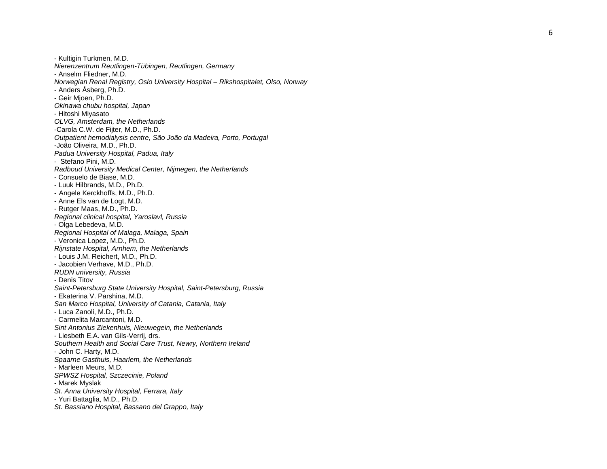- Kultigin Turkmen, M.D. *Nierenzentrum Reutlingen -Tübingen, Reutlingen, Germany* - Anselm Fliedner, M.D. *Norwegian Renal Registry, Oslo University Hospital – Rikshospitalet, Olso, Norway*  - Anders Åsberg, Ph.D. - Geir Mjoen, Ph.D. *Okinawa chubu hospital, Japan* - Hitoshi Miyasato *OLVG, Amsterdam, the Netherlands* -Carola C.W. de Fijter, M.D., Ph.D. *Outpatient hemodialysis centre, São João da Madeira, Porto, Portugal* -João Oliveira, M.D., Ph.D. *Padua University Hospital, Padua, Italy* - Stefano Pini, M.D. *Radboud University Medical Center, Nijmegen, the Netherlands* - Consuelo de Biase, M.D. - Luuk Hilbrands, M.D., Ph.D. - Angele Kerckhoffs, M.D., Ph.D. - Anne Els van de Logt, M.D. - Rutger Maas, M.D., Ph.D. *Regional clinical hospital, Yaroslavl, Russia* - Olga Lebedeva, M.D. *Regional Hospital of Malaga, Malaga, Spain* - Veronica Lopez, M.D., Ph.D. *Rijnstate Hospital, Arnhem, the Netherlands* - Louis J.M. Reichert, M.D., Ph.D. - Jacobien Verhave, M.D., Ph.D. *RUDN university, Russia* - Denis Titov *Saint -Petersburg State University Hospital, Saint -Petersburg, Russia* - Ekaterina V. Parshina, M.D. *San Marco Hospital, University of Catania, Catania, Italy* - Luca Zanoli, M.D., Ph.D. - Carmelita Marcantoni, M.D. *Sint Antonius Ziekenhuis, Nieuwegein, the Netherlands* - Liesbeth E.A. van Gils-Verrij, drs. *Southern Health and Social Care Trust, Newry, Northern Ireland* - John C. Harty, M.D. *Spaarne Gasthuis, Haarlem, the Netherlands* - Marleen Meurs, M.D. *SPWSZ Hospital, Szczecinie, Poland* - Marek Myslak *St. Anna University Hospital, Ferrara, Italy* - Yuri Battaglia, M.D., Ph.D.

*St. Bassiano Hospital, Bassano del Grappo, Italy*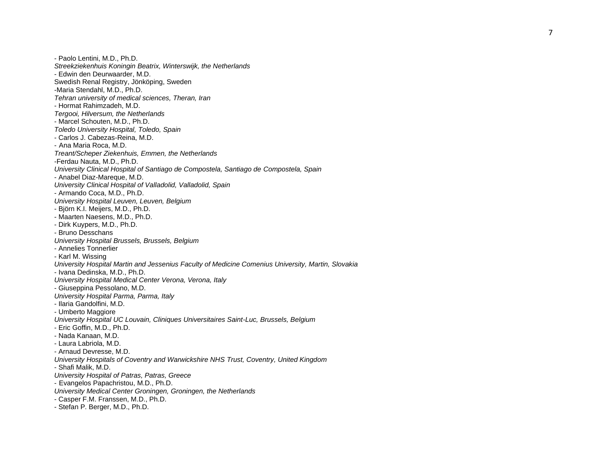- Paolo Lentini, M.D., Ph.D. *Streekziekenhuis Koningin Beatrix, Winterswijk, the Netherlands* - Edwin den Deurwaarder, M.D. Swedish Renal Registry, Jönköping, Sweden -Maria Stendahl, M.D., Ph.D. *Tehran university of medical sciences, Theran, Iran* - Hormat Rahimzadeh, M.D. *Tergooi, Hilversum, the Netherlands* - Marcel Schouten, M.D., Ph.D. *Toledo University Hospital, Toledo, Spain* - Carlos J. Cabezas-Reina, M.D. - Ana Maria Roca, M.D. *Treant/Scheper Ziekenhuis, Emmen, the Netherlands* -Ferdau Nauta, M.D., Ph.D. *University Clinical Hospital of Santiago de Compostela, Santiago de Compostela, Spain* - Anabel Diaz-Mareque, M.D. *University Clinical Hospital of Valladolid, Valladolid, Spain* - Armando Coca, M.D., Ph.D. *University Hospital Leuven, Leuven, Belgium* - Björn K.I. Meijers, M.D., Ph.D. - Dirk Kuypers, M.D., Ph.D.<br>- Bruno Desschans *University Hospital Brussels, Brussels, Belgium* - Annelies Tonnerlier - Karl M. Wissing *University Hospital Martin and Jessenius Faculty of Medicine Comenius University, Martin, Slovakia* - Ivana Dedinska, M.D., Ph.D. *University Hospital Medical Center Verona, Verona, Italy* - Giuseppina Pessolano, M.D. *University Hospital Parma, Parma, Italy* - Ilaria Gandolfini, M.D. - Umberto Maggiore *University Hospital UC Louvain, Cliniques Universitaires Saint -Luc, Brussels, Belgium* - Eric Goffin, M.D., Ph.D. - Nada Kanaan, M.D. - Laura Labriola, M.D. - Arnaud Devresse, M.D. *University Hospitals of Coventry and Warwickshire NHS Trust, Coventry, United Kingdom* - Shafi Malik, M.D. *University Hospital of Patras, Patras, Greece* - Evangelos Papachristou, M.D., Ph.D. *University Medical Center Groningen, Groningen, the Netherlands* - Casper F.M. Franssen, M.D., Ph.D.

- Stefan P. Berger, M.D., Ph.D.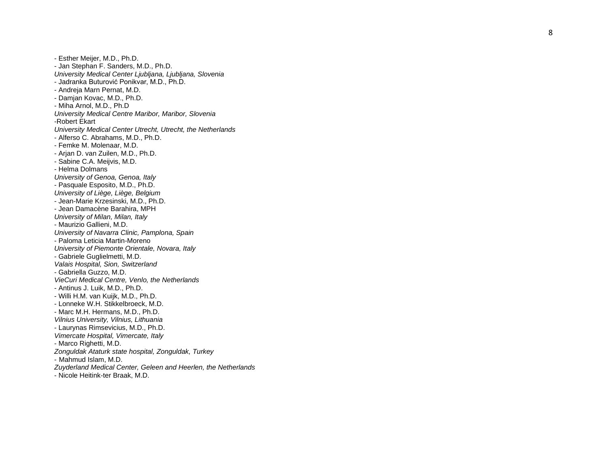8

- Esther Meijer, M.D., Ph.D. - Jan Stephan F. Sanders, M.D., Ph.D. *University Medical Center Ljubljana, Ljubljana, Slovenia* - Jadranka Buturović Ponikvar, M.D., Ph.D. - Andreja Marn Pernat, M.D. - Damjan Kovac, M.D., Ph.D. - Miha Arnol, M.D., Ph.D *University Medical Centre Maribor, Maribor, Slovenia* -Robert Ekart *University Medical Center Utrecht, Utrecht, the Netherlands* - Alferso C. Abrahams, M.D., Ph.D. - Femke M. Molenaar, M.D. - Arjan D. van Zuilen, M.D., Ph.D. - Sabine C.A. Meijvis, M.D. - Helma Dolmans *University of Genoa, Genoa, Italy* - Pasquale Esposito, M.D., Ph.D. *University of Liège, Liège, Belgium* - Jean-Marie Krzesinski, M.D., Ph.D. - Jean Damacène Barahira, MPH *University of Milan, Milan, Italy* - Maurizio Gallieni, M.D. *University of Navarra Clinic, Pamplona, Spain* - Paloma Leticia Martin-Moreno *University of Piemonte Orientale, Novara, Italy* - Gabriele Guglielmetti, M.D. *Valais Hospital, Sion, Switzerland* - Gabriella Guzzo, M.D. *VieCuri Medical Centre, Venlo, the Netherlands* - Antinus J. Luik, M.D., Ph.D. - Willi H.M. van Kuijk, M.D., Ph.D. - Lonneke W.H. Stikkelbroeck, M.D. - Marc M.H. Hermans, M.D., Ph.D. *Vilnius University, Vilnius, Lithuania* - Laurynas Rimsevicius, M.D., Ph.D. *Vimercate Hospital, Vimercate, Italy* - Marco Righetti, M.D. *Zonguldak Ataturk state hospital, Zonguldak, Turkey* - Mahmud Islam, M.D. *Zuyderland Medical Center, Geleen and Heerlen, the Netherlands*

- Nicole Heitink-ter Braak, M.D.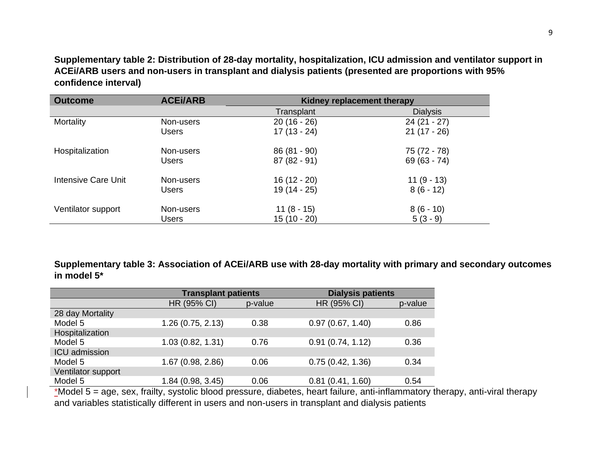**Supplementary table 2: Distribution of 28-day mortality, hospitalization, ICU admission and ventilator support in ACEi/ARB users and non-users in transplant and dialysis patients (presented are proportions with 95% confidence interval)**

| <b>Outcome</b>      | <b>ACEI/ARB</b> | Kidney replacement therapy |                 |  |  |  |
|---------------------|-----------------|----------------------------|-----------------|--|--|--|
|                     |                 | Transplant                 | <b>Dialysis</b> |  |  |  |
| Mortality           | Non-users       | $20(16 - 26)$              | $24(21 - 27)$   |  |  |  |
|                     | Users           | $17(13 - 24)$              | $21(17 - 26)$   |  |  |  |
| Hospitalization     | Non-users       | $86(81 - 90)$              | 75 (72 - 78)    |  |  |  |
|                     | <b>Users</b>    | $87(82-91)$                | $69(63 - 74)$   |  |  |  |
| Intensive Care Unit | Non-users       | 16 (12 - 20)               | $11(9-13)$      |  |  |  |
|                     | <b>Users</b>    | 19 (14 - 25)               | $8(6 - 12)$     |  |  |  |
| Ventilator support  | Non-users       | $11(8 - 15)$               | $8(6 - 10)$     |  |  |  |
|                     | Users           | 15 (10 - 20)               | $5(3-9)$        |  |  |  |

**Supplementary table 3: Association of ACEi/ARB use with 28-day mortality with primary and secondary outcomes in model 5\***

|                      | <b>Transplant patients</b> |         | <b>Dialysis patients</b> |         |  |  |
|----------------------|----------------------------|---------|--------------------------|---------|--|--|
|                      | HR (95% CI)                | p-value | HR (95% CI)              | p-value |  |  |
| 28 day Mortality     |                            |         |                          |         |  |  |
| Model 5              | 1.26(0.75, 2.13)           | 0.38    | 0.97(0.67, 1.40)         | 0.86    |  |  |
| Hospitalization      |                            |         |                          |         |  |  |
| Model 5              | 1.03(0.82, 1.31)           | 0.76    | 0.91(0.74, 1.12)         | 0.36    |  |  |
| <b>ICU</b> admission |                            |         |                          |         |  |  |
| Model 5              | 1.67 (0.98, 2.86)          | 0.06    | 0.75(0.42, 1.36)         | 0.34    |  |  |
| Ventilator support   |                            |         |                          |         |  |  |
| Model 5              | 1.84 (0.98, 3.45)          | 0.06    | 0.81(0.41, 1.60)         | 0.54    |  |  |

 $*$ Model 5 = age, sex, frailty, systolic blood pressure, diabetes, heart failure, anti-inflammatory therapy, anti-viral therapy and variables statistically different in users and non-users in transplant and dialysis patients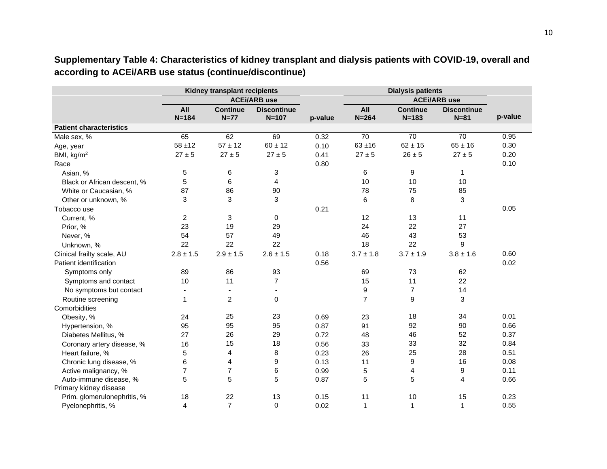|                                | Kidney transplant recipients |                 |                     |         |                | <b>Dialysis patients</b> |                     |         |  |
|--------------------------------|------------------------------|-----------------|---------------------|---------|----------------|--------------------------|---------------------|---------|--|
|                                |                              |                 | <b>ACEi/ARB use</b> |         |                |                          | <b>ACEi/ARB use</b> |         |  |
|                                | All                          | <b>Continue</b> | <b>Discontinue</b>  |         | All            | <b>Continue</b>          | <b>Discontinue</b>  |         |  |
|                                | $N = 184$                    | $N=77$          | $N = 107$           | p-value | $N = 264$      | $N = 183$                | $N = 81$            | p-value |  |
| <b>Patient characteristics</b> |                              |                 |                     |         |                |                          |                     |         |  |
| Male sex, %                    | 65                           | 62              | 69                  | 0.32    | 70             | $\overline{70}$          | $\overline{70}$     | 0.95    |  |
| Age, year                      | $58 + 12$                    | $57 \pm 12$     | $60 \pm 12$         | 0.10    | $63 + 16$      | $62 \pm 15$              | $65 \pm 16$         | 0.30    |  |
| BMI, kg/m <sup>2</sup>         | $27 \pm 5$                   | $27 \pm 5$      | $27 \pm 5$          | 0.41    | $27 \pm 5$     | $26 \pm 5$               | $27 \pm 5$          | 0.20    |  |
| Race                           |                              |                 |                     | 0.80    |                |                          |                     | 0.10    |  |
| Asian, %                       | 5                            | 6               | 3                   |         | 6              | 9                        | 1                   |         |  |
| Black or African descent, %    | 5                            | 6               | 4                   |         | 10             | 10                       | 10                  |         |  |
| White or Caucasian, %          | 87                           | 86              | 90                  |         | 78             | 75                       | 85                  |         |  |
| Other or unknown, %            | 3                            | 3               | 3                   |         | 6              | 8                        | 3                   |         |  |
| Tobacco use                    |                              |                 |                     | 0.21    |                |                          |                     | 0.05    |  |
| Current, %                     | $\overline{c}$               | 3               | $\mathbf 0$         |         | 12             | 13                       | 11                  |         |  |
| Prior, %                       | 23                           | 19              | 29                  |         | 24             | 22                       | 27                  |         |  |
| Never, %                       | 54                           | 57              | 49                  |         | 46             | 43                       | 53                  |         |  |
| Unknown, %                     | 22                           | 22              | 22                  |         | 18             | 22                       | 9                   |         |  |
| Clinical frailty scale, AU     | $2.8 \pm 1.5$                | $2.9 \pm 1.5$   | $2.6 \pm 1.5$       | 0.18    | $3.7 \pm 1.8$  | $3.7 \pm 1.9$            | $3.8 \pm 1.6$       | 0.60    |  |
| Patient identification         |                              |                 |                     | 0.56    |                |                          |                     | 0.02    |  |
| Symptoms only                  | 89                           | 86              | 93                  |         | 69             | 73                       | 62                  |         |  |
| Symptoms and contact           | 10                           | 11              | $\overline{7}$      |         | 15             | 11                       | 22                  |         |  |
| No symptoms but contact        |                              | $\blacksquare$  | $\blacksquare$      |         | 9              | $\overline{7}$           | 14                  |         |  |
| Routine screening              | 1                            | $\overline{2}$  | 0                   |         | $\overline{7}$ | 9                        | 3                   |         |  |
| Comorbidities                  |                              |                 |                     |         |                |                          |                     |         |  |
| Obesity, %                     | 24                           | 25              | 23                  | 0.69    | 23             | 18                       | 34                  | 0.01    |  |
| Hypertension, %                | 95                           | 95              | 95                  | 0.87    | 91             | 92                       | 90                  | 0.66    |  |
| Diabetes Mellitus, %           | 27                           | 26              | 29                  | 0.72    | 48             | 46                       | 52                  | 0.37    |  |
| Coronary artery disease, %     | 16                           | 15              | 18                  | 0.56    | 33             | 33                       | 32                  | 0.84    |  |
| Heart failure, %               | 5                            | 4               | 8                   | 0.23    | 26             | 25                       | 28                  | 0.51    |  |
| Chronic lung disease, %        | 6                            | 4               | 9                   | 0.13    | 11             | 9                        | 16                  | 0.08    |  |
| Active malignancy, %           | $\overline{7}$               | $\overline{7}$  | 6                   | 0.99    | 5              | 4                        | 9                   | 0.11    |  |
| Auto-immune disease, %         | 5                            | 5               | 5                   | 0.87    | 5              | 5                        | 4                   | 0.66    |  |
| Primary kidney disease         |                              |                 |                     |         |                |                          |                     |         |  |
| Prim. glomerulonephritis, %    | 18                           | 22              | 13                  | 0.15    | 11             | 10                       | 15                  | 0.23    |  |
| Pyelonephritis, %              | 4                            | $\overline{7}$  | $\mathbf 0$         | 0.02    | $\mathbf{1}$   | 1                        | $\mathbf{1}$        | 0.55    |  |

**Supplementary Table 4: Characteristics of kidney transplant and dialysis patients with COVID-19, overall and according to ACEi/ARB use status (continue/discontinue)**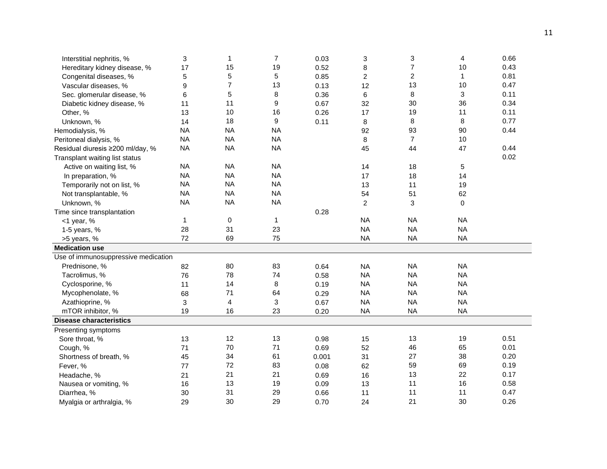| Interstitial nephritis, %           | 3            | $\mathbf{1}$            | $\overline{7}$ | 0.03  | 3              | 3              | 4           | 0.66 |
|-------------------------------------|--------------|-------------------------|----------------|-------|----------------|----------------|-------------|------|
| Hereditary kidney disease, %        | 17           | 15                      | 19             | 0.52  | 8              | $\overline{7}$ | 10          | 0.43 |
| Congenital diseases, %              | 5            | 5                       | 5              | 0.85  | $\overline{c}$ | $\overline{c}$ | 1           | 0.81 |
| Vascular diseases, %                | 9            | 7                       | 13             | 0.13  | 12             | 13             | 10          | 0.47 |
| Sec. glomerular disease, %          | 6            | 5                       | 8              | 0.36  | 6              | 8              | 3           | 0.11 |
| Diabetic kidney disease, %          | 11           | 11                      | 9              | 0.67  | 32             | 30             | 36          | 0.34 |
| Other, %                            | 13           | 10                      | 16             | 0.26  | 17             | 19             | 11          | 0.11 |
| Unknown, %                          | 14           | 18                      | 9              | 0.11  | 8              | 8              | 8           | 0.77 |
| Hemodialysis, %                     | <b>NA</b>    | <b>NA</b>               | <b>NA</b>      |       | 92             | 93             | 90          | 0.44 |
| Peritoneal dialysis, %              | <b>NA</b>    | <b>NA</b>               | <b>NA</b>      |       | 8              | $\overline{7}$ | 10          |      |
| Residual diuresis ≥200 ml/day, %    | <b>NA</b>    | <b>NA</b>               | <b>NA</b>      |       | 45             | 44             | 47          | 0.44 |
| Transplant waiting list status      |              |                         |                |       |                |                |             | 0.02 |
| Active on waiting list, %           | <b>NA</b>    | <b>NA</b>               | <b>NA</b>      |       | 14             | 18             | 5           |      |
| In preparation, %                   | <b>NA</b>    | <b>NA</b>               | <b>NA</b>      |       | 17             | 18             | 14          |      |
| Temporarily not on list, %          | <b>NA</b>    | <b>NA</b>               | <b>NA</b>      |       | 13             | 11             | 19          |      |
| Not transplantable, %               | <b>NA</b>    | <b>NA</b>               | <b>NA</b>      |       | 54             | 51             | 62          |      |
| Unknown, %                          | <b>NA</b>    | <b>NA</b>               | <b>NA</b>      |       | 2              | 3              | $\mathbf 0$ |      |
| Time since transplantation          |              |                         |                | 0.28  |                |                |             |      |
| $<$ 1 year, %                       | $\mathbf{1}$ | $\mathbf 0$             | 1              |       | <b>NA</b>      | <b>NA</b>      | <b>NA</b>   |      |
| 1-5 years, %                        | 28           | 31                      | 23             |       | <b>NA</b>      | <b>NA</b>      | <b>NA</b>   |      |
| >5 years, %                         | 72           | 69                      | 75             |       | <b>NA</b>      | <b>NA</b>      | <b>NA</b>   |      |
| <b>Medication use</b>               |              |                         |                |       |                |                |             |      |
| Use of immunosuppressive medication |              |                         |                |       |                |                |             |      |
| Prednisone, %                       | 82           | 80                      | 83             | 0.64  | <b>NA</b>      | <b>NA</b>      | <b>NA</b>   |      |
| Tacrolimus, %                       | 76           | 78                      | 74             | 0.58  | <b>NA</b>      | <b>NA</b>      | <b>NA</b>   |      |
| Cyclosporine, %                     | 11           | 14                      | 8              | 0.19  | <b>NA</b>      | <b>NA</b>      | <b>NA</b>   |      |
| Mycophenolate, %                    | 68           | 71                      | 64             | 0.29  | <b>NA</b>      | <b>NA</b>      | <b>NA</b>   |      |
| Azathioprine, %                     | 3            | $\overline{\mathbf{4}}$ | 3              | 0.67  | <b>NA</b>      | <b>NA</b>      | <b>NA</b>   |      |
| mTOR inhibitor, %                   | 19           | 16                      | 23             | 0.20  | <b>NA</b>      | <b>NA</b>      | <b>NA</b>   |      |
| <b>Disease characteristics</b>      |              |                         |                |       |                |                |             |      |
| Presenting symptoms                 |              |                         |                |       |                |                |             |      |
| Sore throat, %                      | 13           | 12                      | 13             | 0.98  | 15             | 13             | 19          | 0.51 |
| Cough, %                            | 71           | 70                      | 71             | 0.69  | 52             | 46             | 65          | 0.01 |
| Shortness of breath, %              | 45           | 34                      | 61             | 0.001 | 31             | 27             | 38          | 0.20 |
| Fever, %                            | 77           | 72                      | 83             | 0.08  | 62             | 59             | 69          | 0.19 |
| Headache, %                         | 21           | 21                      | 21             | 0.69  | 16             | 13             | 22          | 0.17 |
| Nausea or vomiting, %               | 16           | 13                      | 19             | 0.09  | 13             | 11             | 16          | 0.58 |
| Diarrhea, %                         | 30           | 31                      | 29             | 0.66  | 11             | 11             | 11          | 0.47 |
| Myalgia or arthralgia, %            | 29           | 30                      | 29             | 0.70  | 24             | 21             | 30          | 0.26 |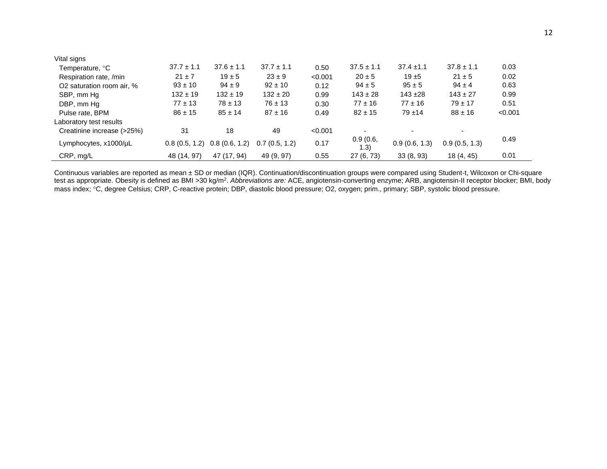| Vital signs                |                |                |                |         |                          |                          |                |         |
|----------------------------|----------------|----------------|----------------|---------|--------------------------|--------------------------|----------------|---------|
| Temperature, °C            | $37.7 \pm 1.1$ | $37.6 \pm 1.1$ | $37.7 \pm 1.1$ | 0.50    | $37.5 \pm 1.1$           | $37.4 \pm 1.1$           | $37.8 \pm 1.1$ | 0.03    |
| Respiration rate, /min     | $21 \pm 7$     | $19 \pm 5$     | $23 \pm 9$     | < 0.001 | $20 \pm 5$               | $19 + 5$                 | $21 \pm 5$     | 0.02    |
| O2 saturation room air, %  | $93 \pm 10$    | $94 \pm 9$     | $92 \pm 10$    | 0.12    | $94 \pm 5$               | $95 \pm 5$               | $94 \pm 4$     | 0.63    |
| SBP, mm Hq                 | $132 \pm 19$   | $132 \pm 19$   | $132 \pm 20$   | 0.99    | $143 \pm 28$             | $143 + 28$               | $143 \pm 27$   | 0.99    |
| DBP, mm Hq                 | $77 \pm 13$    | $78 \pm 13$    | $76 \pm 13$    | 0.30    | $77 \pm 16$              | $77 \pm 16$              | $79 \pm 17$    | 0.51    |
| Pulse rate, BPM            | $86 \pm 15$    | $85 \pm 14$    | $87 \pm 16$    | 0.49    | $82 \pm 15$              | $79 + 14$                | $88 \pm 16$    | < 0.001 |
| Laboratory test results    |                |                |                |         |                          |                          |                |         |
| Creatinine increase (>25%) | 31             | 18             | 49             | < 0.001 | $\overline{\phantom{a}}$ | $\overline{\phantom{a}}$ |                |         |
| Lymphocytes, x1000/uL      | 0.8(0.5, 1.2)  | 0.8(0.6, 1.2)  | 0.7(0.5, 1.2)  | 0.17    | 0.9(0.6,<br>(1.3)        | 0.9(0.6, 1.3)            | 0.9(0.5, 1.3)  | 0.49    |
| CRP, mg/L                  | 48 (14, 97)    | 47 (17, 94)    | 49 (9, 97)     | 0.55    | 27 (6, 73)               | 33(8, 93)                | 18 (4, 45)     | 0.01    |

Continuous variables are reported as mean ± SD or median (IQR). Continuation/discontinuation groups were compared using Student-t, Wilcoxon or Chi-square test as appropriate. Obesity is defined as BMI >30 kg/m<sup>2</sup>. Abbreviations are: ACE, angiotensin-converting enzyme; ARB, angiotensin-II receptor blocker; BMI, body mass index; °C, degree Celsius; CRP, C-reactive protein; DBP, diastolic blood pressure; O2, oxygen; prim., primary; SBP, systolic blood pressure.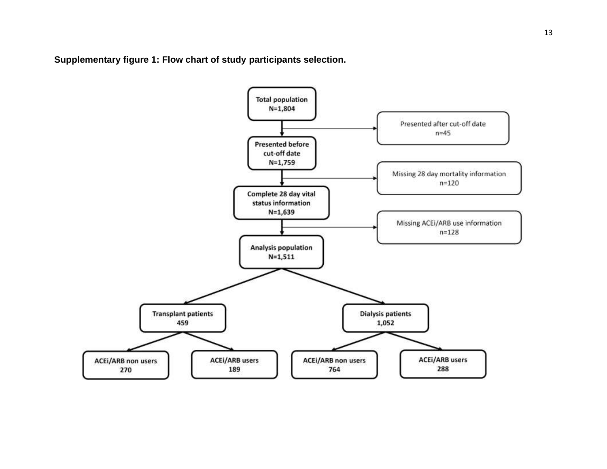**Supplementary figure 1: Flow chart of study participants selection.**

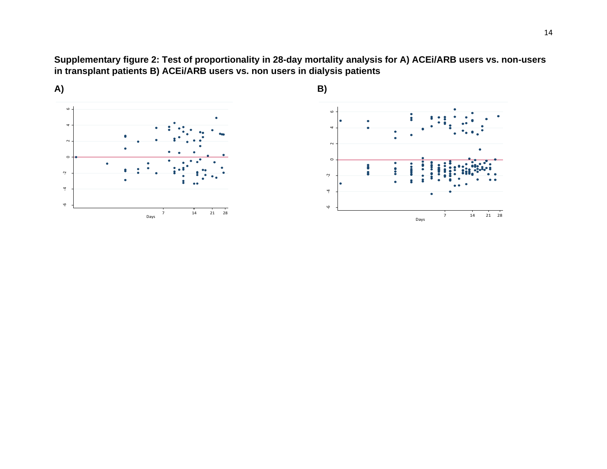**Supplementary figure 2: Test of proportionality in 28-day mortality analysis for A) ACEi/ARB users vs. non-users in transplant patients B) ACEi/ARB users vs. non users in dialysis patients**



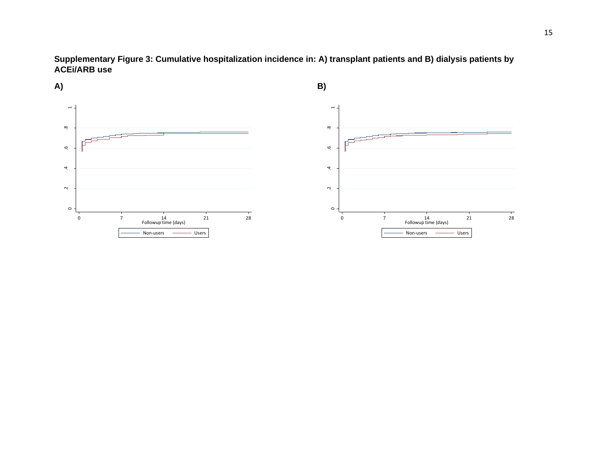**Supplementary Figure 3: Cumulative hospitalization incidence in: A) transplant patients and B) dialysis patients by ACEi/ARB use**

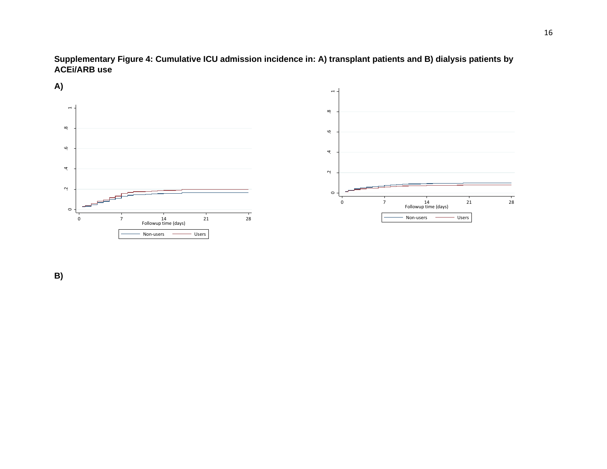**Supplementary Figure 4: Cumulative ICU admission incidence in: A) transplant patients and B) dialysis patients by ACEi/ARB use**



**B)**